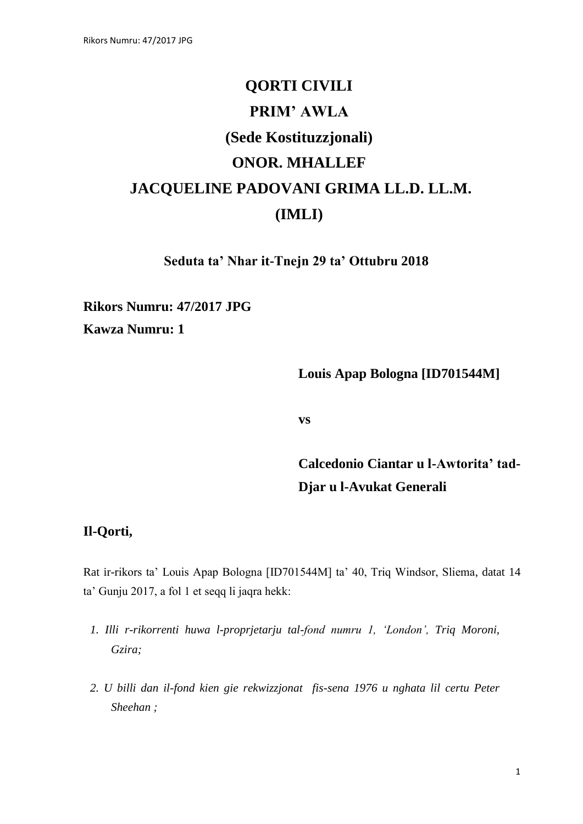# **QORTI CIVILI PRIM' AWLA (Sede Kostituzzjonali) ONOR. MHALLEF JACQUELINE PADOVANI GRIMA LL.D. LL.M. (IMLI)**

**Seduta ta' Nhar it-Tnejn 29 ta' Ottubru 2018**

**Rikors Numru: 47/2017 JPG Kawza Numru: 1**

**Louis Apap Bologna [ID701544M]**

**vs** 

**Calcedonio Ciantar u l-Awtorita' tad-Djar u l-Avukat Generali**

# **Il-Qorti,**

Rat ir-rikors ta' Louis Apap Bologna [ID701544M] ta' 40, Triq Windsor, Sliema, datat 14 ta' Gunju 2017, a fol 1 et seqq li jaqra hekk:

- *1. Illi r-rikorrenti huwa l-proprjetarju tal-fond numru 1, 'London', Triq Moroni, Gzira;*
- *2. U billi dan il-fond kien gie rekwizzjonat fis-sena 1976 u nghata lil certu Peter Sheehan ;*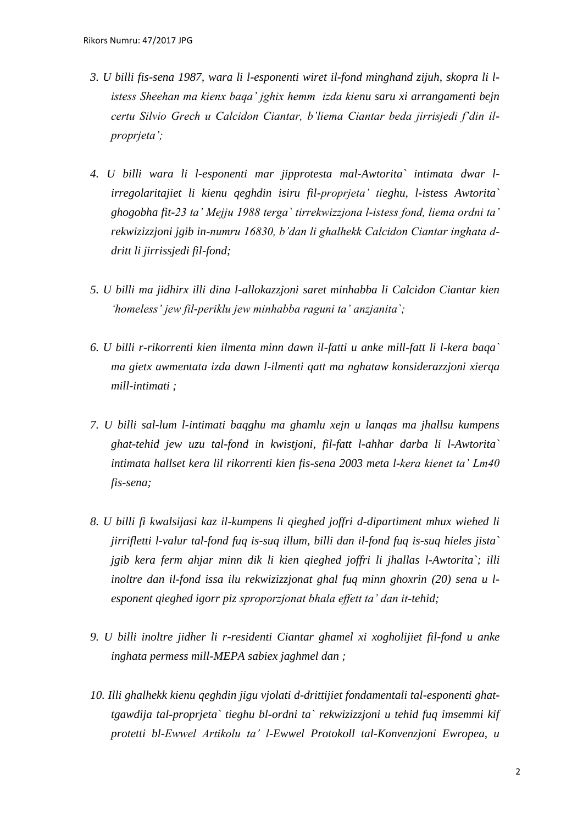- *3. U billi fis-sena 1987, wara li l-esponenti wiret il-fond minghand zijuh, skopra li listess Sheehan ma kienx baqa' jghix hemm izda kienu saru xi arrangamenti bejn certu Silvio Grech u Calcidon Ciantar, b'liema Ciantar beda jirrisjedi f'din ilproprjeta';*
- *4. U billi wara li l-esponenti mar jipprotesta mal-Awtorita` intimata dwar lirregolaritajiet li kienu qeghdin isiru fil-proprjeta' tieghu, l-istess Awtorita` ghogobha fit-23 ta' Mejju 1988 terga` tirrekwizzjona l-istess fond, liema ordni ta' rekwizizzjoni jgib in-numru 16830, b'dan li ghalhekk Calcidon Ciantar inghata ddritt li jirrissjedi fil-fond;*
- *5. U billi ma jidhirx illi dina l-allokazzjoni saret minhabba li Calcidon Ciantar kien 'homeless' jew fil-periklu jew minhabba raguni ta' anzjanita`;*
- *6. U billi r-rikorrenti kien ilmenta minn dawn il-fatti u anke mill-fatt li l-kera baqa` ma gietx awmentata izda dawn l-ilmenti qatt ma nghataw konsiderazzjoni xierqa mill-intimati ;*
- *7. U billi sal-lum l-intimati baqghu ma ghamlu xejn u lanqas ma jhallsu kumpens ghat-tehid jew uzu tal-fond in kwistjoni, fil-fatt l-ahhar darba li l-Awtorita` intimata hallset kera lil rikorrenti kien fis-sena 2003 meta l-kera kienet ta' Lm40 fis-sena;*
- *8. U billi fi kwalsijasi kaz il-kumpens li qieghed joffri d-dipartiment mhux wiehed li jirrifletti l-valur tal-fond fuq is-suq illum, billi dan il-fond fuq is-suq hieles jista` jgib kera ferm ahjar minn dik li kien qieghed joffri li jhallas l-Awtorita`; illi inoltre dan il-fond issa ilu rekwizizzjonat ghal fuq minn ghoxrin (20) sena u lesponent qieghed igorr piz sproporzjonat bhala effett ta' dan it-tehid;*
- *9. U billi inoltre jidher li r-residenti Ciantar ghamel xi xogholijiet fil-fond u anke inghata permess mill-MEPA sabiex jaghmel dan ;*
- *10. Illi ghalhekk kienu qeghdin jigu vjolati d-drittijiet fondamentali tal-esponenti ghattgawdija tal-proprjeta` tieghu bl-ordni ta` rekwizizzjoni u tehid fuq imsemmi kif protetti bl-Ewwel Artikolu ta' l-Ewwel Protokoll tal-Konvenzjoni Ewropea, u*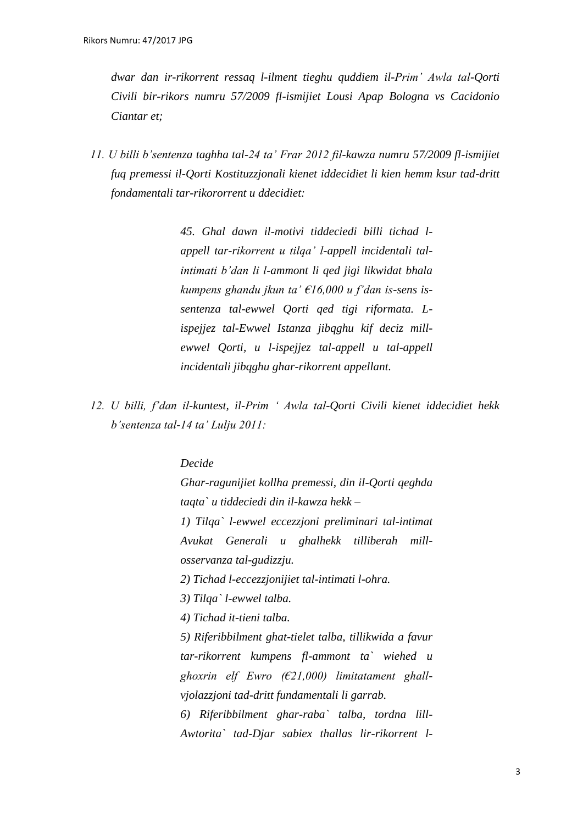*dwar dan ir-rikorrent ressaq l-ilment tieghu quddiem il-Prim' Awla tal-Qorti Civili bir-rikors numru 57/2009 fl-ismijiet Lousi Apap Bologna vs Cacidonio Ciantar et;*

*11. U billi b'sentenza taghha tal-24 ta' Frar 2012 fil-kawza numru 57/2009 fl-ismijiet fuq premessi il-Qorti Kostituzzjonali kienet iddecidiet li kien hemm ksur tad-dritt fondamentali tar-rikororrent u ddecidiet:*

> *45. Ghal dawn il-motivi tiddeciedi billi tichad lappell tar-rikorrent u tilqa' l-appell incidentali talintimati b'dan li l-ammont li qed jigi likwidat bhala kumpens ghandu jkun ta' €16,000 u f'dan is-sens issentenza tal-ewwel Qorti qed tigi riformata. Lispejjez tal-Ewwel Istanza jibqghu kif deciz millewwel Qorti, u l-ispejjez tal-appell u tal-appell incidentali jibqghu ghar-rikorrent appellant.*

*12. U billi, f'dan il-kuntest, il-Prim ' Awla tal-Qorti Civili kienet iddecidiet hekk b'sentenza tal-14 ta' Lulju 2011:*

#### *Decide*

*Ghar-ragunijiet kollha premessi, din il-Qorti qeghda taqta` u tiddeciedi din il-kawza hekk – 1) Tilqa` l-ewwel eccezzjoni preliminari tal-intimat Avukat Generali u ghalhekk tilliberah millosservanza tal-gudizzju. 2) Tichad l-eccezzjonijiet tal-intimati l-ohra. 3) Tilqa` l-ewwel talba. 4) Tichad it-tieni talba.*

*5) Riferibbilment ghat-tielet talba, tillikwida a favur tar-rikorrent kumpens fl-ammont ta` wiehed u ghoxrin elf Ewro (€21,000) limitatament ghallvjolazzjoni tad-dritt fundamentali li garrab.*

*6) Riferibbilment ghar-raba` talba, tordna lill-Awtorita` tad-Djar sabiex thallas lir-rikorrent l-*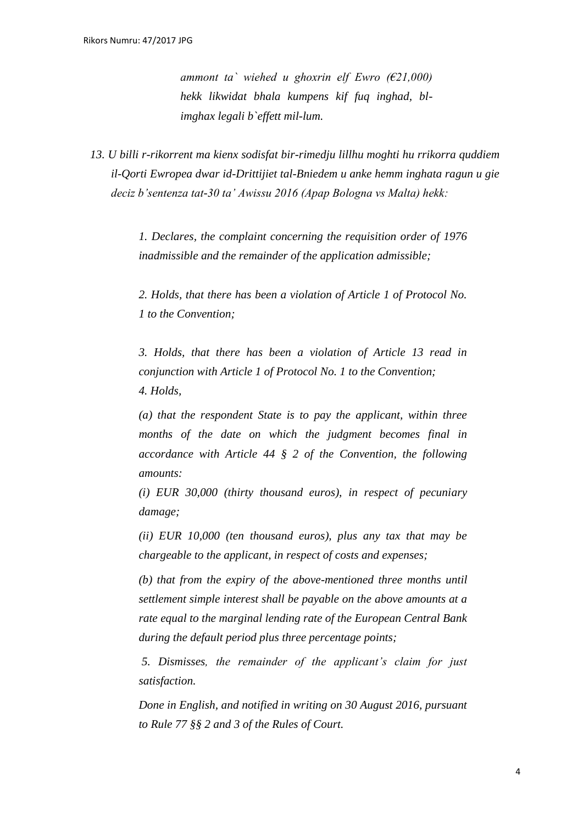*ammont ta` wiehed u ghoxrin elf Ewro (€21,000) hekk likwidat bhala kumpens kif fuq inghad, blimghax legali b`effett mil-lum.*

*13. U billi r-rikorrent ma kienx sodisfat bir-rimedju lillhu moghti hu rrikorra quddiem il-Qorti Ewropea dwar id-Drittijiet tal-Bniedem u anke hemm inghata ragun u gie deciz b'sentenza tat-30 ta' Awissu 2016 (Apap Bologna vs Malta) hekk:*

> *1. Declares, the complaint concerning the requisition order of 1976 inadmissible and the remainder of the application admissible;*

> *2. Holds, that there has been a violation of Article 1 of Protocol No. 1 to the Convention;*

> *3. Holds, that there has been a violation of Article 13 read in conjunction with Article 1 of Protocol No. 1 to the Convention; 4. Holds,*

> *(a) that the respondent State is to pay the applicant, within three months of the date on which the judgment becomes final in accordance with Article 44 § 2 of the Convention, the following amounts:*

> *(i) EUR 30,000 (thirty thousand euros), in respect of pecuniary damage;*

> *(ii) EUR 10,000 (ten thousand euros), plus any tax that may be chargeable to the applicant, in respect of costs and expenses;*

> *(b) that from the expiry of the above-mentioned three months until settlement simple interest shall be payable on the above amounts at a rate equal to the marginal lending rate of the European Central Bank during the default period plus three percentage points;*

> *5. Dismisses, the remainder of the applicant's claim for just satisfaction.*

> *Done in English, and notified in writing on 30 August 2016, pursuant to Rule 77 §§ 2 and 3 of the Rules of Court.*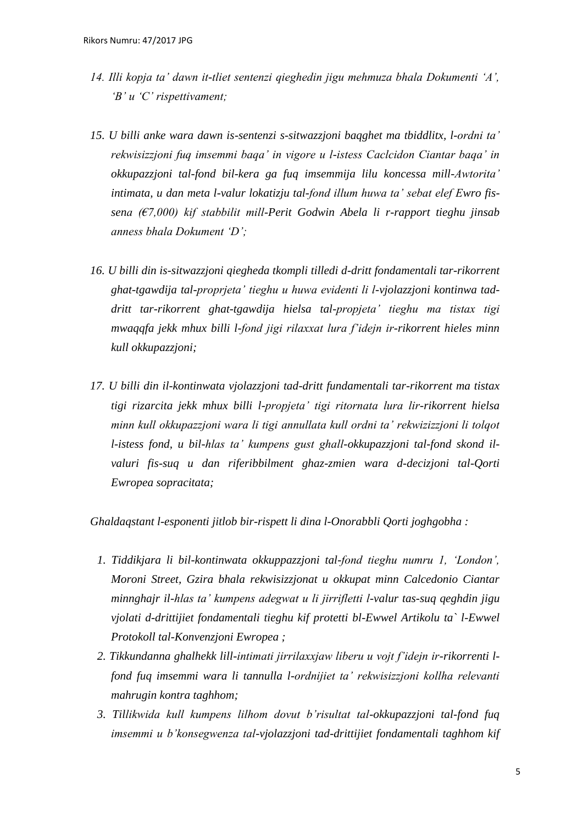- *14. Illi kopja ta' dawn it-tliet sentenzi qieghedin jigu mehmuza bhala Dokumenti 'A', 'B' u 'C' rispettivament;*
- *15. U billi anke wara dawn is-sentenzi s-sitwazzjoni baqghet ma tbiddlitx, l-ordni ta' rekwisizzjoni fuq imsemmi baqa' in vigore u l-istess Caclcidon Ciantar baqa' in okkupazzjoni tal-fond bil-kera ga fuq imsemmija lilu koncessa mill-Awtorita' intimata, u dan meta l-valur lokatizju tal-fond illum huwa ta' sebat elef Ewro fissena (€7,000) kif stabbilit mill-Perit Godwin Abela li r-rapport tieghu jinsab anness bhala Dokument 'D';*
- *16. U billi din is-sitwazzjoni qiegheda tkompli tilledi d-dritt fondamentali tar-rikorrent ghat-tgawdija tal-proprjeta' tieghu u huwa evidenti li l-vjolazzjoni kontinwa taddritt tar-rikorrent ghat-tgawdija hielsa tal-propjeta' tieghu ma tistax tigi mwaqqfa jekk mhux billi l-fond jigi rilaxxat lura f'idejn ir-rikorrent hieles minn kull okkupazzjoni;*
- *17. U billi din il-kontinwata vjolazzjoni tad-dritt fundamentali tar-rikorrent ma tistax tigi rizarcita jekk mhux billi l-propjeta' tigi ritornata lura lir-rikorrent hielsa minn kull okkupazzjoni wara li tigi annullata kull ordni ta' rekwizizzjoni li tolqot l-istess fond, u bil-hlas ta' kumpens gust ghall-okkupazzjoni tal-fond skond ilvaluri fis-suq u dan riferibbilment ghaz-zmien wara d-decizjoni tal-Qorti Ewropea sopracitata;*

*Ghaldaqstant l-esponenti jitlob bir-rispett li dina l-Onorabbli Qorti joghgobha :*

- *1. Tiddikjara li bil-kontinwata okkuppazzjoni tal-fond tieghu numru 1, 'London', Moroni Street, Gzira bhala rekwisizzjonat u okkupat minn Calcedonio Ciantar minnghajr il-hlas ta' kumpens adegwat u li jirrifletti l-valur tas-suq qeghdin jigu vjolati d-drittijiet fondamentali tieghu kif protetti bl-Ewwel Artikolu ta` l-Ewwel Protokoll tal-Konvenzjoni Ewropea ;*
- *2. Tikkundanna ghalhekk lill-intimati jirrilaxxjaw liberu u vojt f'idejn ir-rikorrenti lfond fuq imsemmi wara li tannulla l-ordnijiet ta' rekwisizzjoni kollha relevanti mahrugin kontra taghhom;*
- *3. Tillikwida kull kumpens lilhom dovut b'risultat tal-okkupazzjoni tal-fond fuq imsemmi u b'konsegwenza tal-vjolazzjoni tad-drittijiet fondamentali taghhom kif*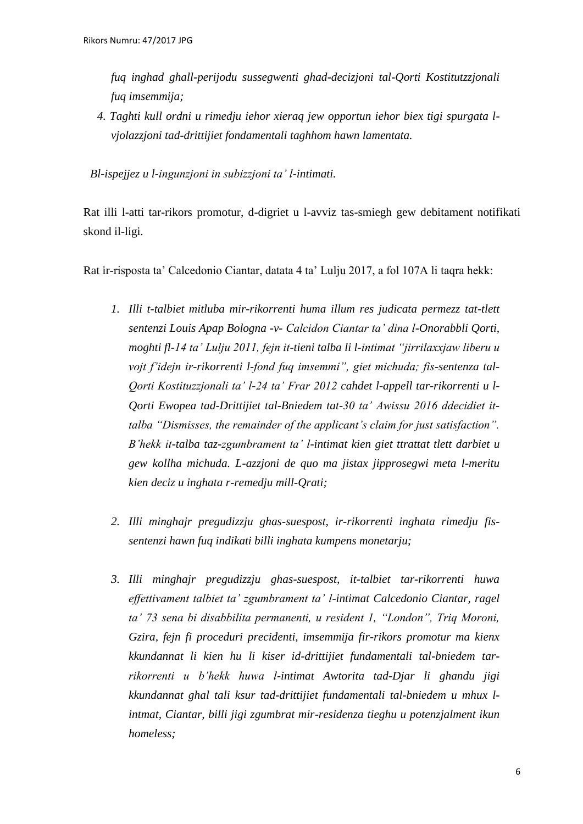*fuq inghad ghall-perijodu sussegwenti ghad-decizjoni tal-Qorti Kostitutzzjonali fuq imsemmija;*

*4. Taghti kull ordni u rimedju iehor xieraq jew opportun iehor biex tigi spurgata lvjolazzjoni tad-drittijiet fondamentali taghhom hawn lamentata.*

*Bl-ispejjez u l-ingunzjoni in subizzjoni ta' l-intimati.*

Rat illi l-atti tar-rikors promotur, d-digriet u l-avviz tas-smiegh gew debitament notifikati skond il-ligi.

Rat ir-risposta ta' Calcedonio Ciantar, datata 4 ta' Lulju 2017, a fol 107A li taqra hekk:

- *1. Illi t-talbiet mitluba mir-rikorrenti huma illum res judicata permezz tat-tlett sentenzi Louis Apap Bologna -v- Calcidon Ciantar ta' dina l-Onorabbli Qorti, moghti fl-14 ta' Lulju 2011, fejn it-tieni talba li l-intimat "jirrilaxxjaw liberu u vojt f'idejn ir-rikorrenti l-fond fuq imsemmi", giet michuda; fis-sentenza tal-Qorti Kostituzzjonali ta' l-24 ta' Frar 2012 cahdet l-appell tar-rikorrenti u l-Qorti Ewopea tad-Drittijiet tal-Bniedem tat-30 ta' Awissu 2016 ddecidiet ittalba "Dismisses, the remainder of the applicant's claim for just satisfaction". B'hekk it-talba taz-zgumbrament ta' l-intimat kien giet ttrattat tlett darbiet u gew kollha michuda. L-azzjoni de quo ma jistax jipprosegwi meta l-meritu kien deciz u inghata r-remedju mill-Qrati;*
- *2. Illi minghajr pregudizzju ghas-suespost, ir-rikorrenti inghata rimedju fissentenzi hawn fuq indikati billi inghata kumpens monetarju;*
- *3. Illi minghajr pregudizzju ghas-suespost, it-talbiet tar-rikorrenti huwa effettivament talbiet ta' zgumbrament ta' l-intimat Calcedonio Ciantar, ragel ta' 73 sena bi disabbilita permanenti, u resident 1, "London", Triq Moroni, Gzira, fejn fi proceduri precidenti, imsemmija fir-rikors promotur ma kienx kkundannat li kien hu li kiser id-drittijiet fundamentali tal-bniedem tarrikorrenti u b'hekk huwa l-intimat Awtorita tad-Djar li ghandu jigi kkundannat ghal tali ksur tad-drittijiet fundamentali tal-bniedem u mhux lintmat, Ciantar, billi jigi zgumbrat mir-residenza tieghu u potenzjalment ikun homeless;*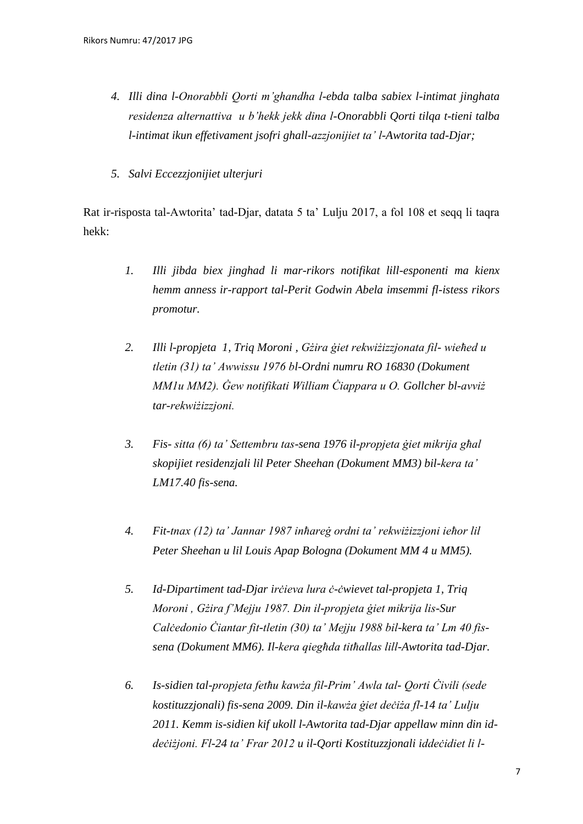- *4. Illi dina l-Onorabbli Qorti m'ghandha l-ebda talba sabiex l-intimat jinghata residenza alternattiva u b'hekk jekk dina l-Onorabbli Qorti tilqa t-tieni talba l-intimat ikun effetivament jsofri ghall-azzjonijiet ta' l-Awtorita tad-Djar;*
- *5. Salvi Eccezzjonijiet ulterjuri*

Rat ir-risposta tal-Awtorita' tad-Djar, datata 5 ta' Lulju 2017, a fol 108 et seqq li taqra hekk:

- *1. Illi jibda biex jinghad li mar-rikors notifikat lill-esponenti ma kienx hemm anness ir-rapport tal-Perit Godwin Abela imsemmi fl-istess rikors promotur.*
- *2. Illi l-propjeta 1, Triq Moroni , Gżira ġiet rekwiżizzjonata fil- wieħed u tletin (31) ta' Awwissu 1976 bl-Ordni numru RO 16830 (Dokument MM1u MM2). Ġew notifikati William Ċiappara u O. Gollcher bl-avviż tar-rekwiżizzjoni.*
- *3. Fis- sitta (6) ta' Settembru tas-sena 1976 il-propjeta ġiet mikrija għal skopijiet residenzjali lil Peter Sheehan (Dokument MM3) bil-kera ta' LM17.40 fis-sena.*
- *4. Fit-tnax (12) ta' Jannar 1987 inħareġ ordni ta' rekwiżizzjoni ieħor lil Peter Sheehan u lil Louis Apap Bologna (Dokument MM 4 u MM5).*
- *5. Id-Dipartiment tad-Djar irċieva lura ċ-ċwievet tal-propjeta 1, Triq Moroni , Gżira f'Mejju 1987. Din il-propjeta ġiet mikrija lis-Sur Calċedonio Ċiantar fit-tletin (30) ta' Mejju 1988 bil-kera ta' Lm 40 fissena (Dokument MM6). Il-kera qiegħda titħallas lill-Awtorita tad-Djar.*
- *6. Is-sidien tal-propjeta fetħu kawża fil-Prim' Awla tal- Qorti Ċivili (sede kostituzzjonali) fis-sena 2009. Din il-kawża ġiet deċiża fl-14 ta' Lulju 2011. Kemm is-sidien kif ukoll l-Awtorita tad-Djar appellaw minn din iddeċiżjoni. Fl-24 ta' Frar 2012 u il-Qorti Kostituzzjonali iddeċidiet li l-*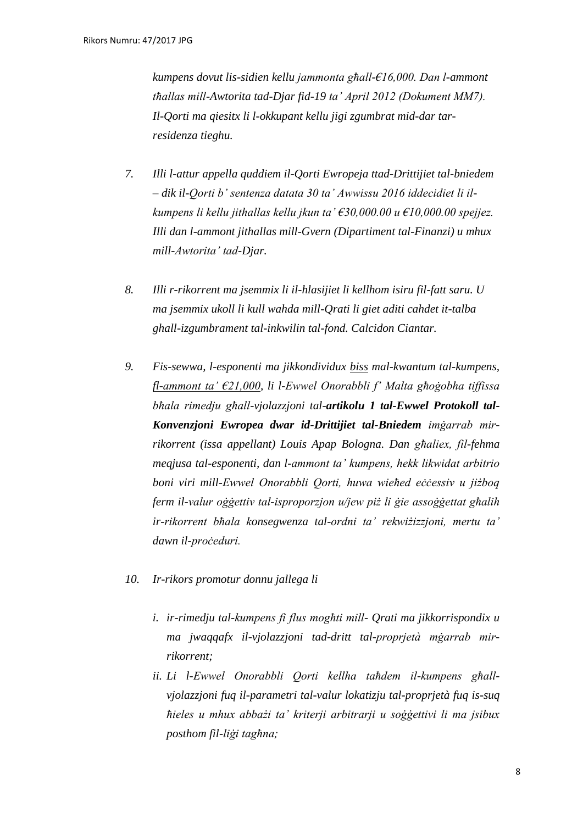*kumpens dovut lis-sidien kellu jammonta għall-€16,000. Dan l-ammont tħallas mill-Awtorita tad-Djar fid-19 ta' April 2012 (Dokument MM7). Il-Qorti ma qiesitx li l-okkupant kellu jigi zgumbrat mid-dar tarresidenza tieghu.*

- *7. Illi l-attur appella quddiem il-Qorti Ewropeja ttad-Drittijiet tal-bniedem – dik il-Qorti b' sentenza datata 30 ta' Awwissu 2016 iddecidiet li ilkumpens li kellu jithallas kellu jkun ta' €30,000.00 u €10,000.00 spejjez. Illi dan l-ammont jithallas mill-Gvern (Dipartiment tal-Finanzi) u mhux mill-Awtorita' tad-Djar.*
- *8. Illi r-rikorrent ma jsemmix li il-hlasijiet li kellhom isiru fil-fatt saru. U ma jsemmix ukoll li kull wahda mill-Qrati li giet aditi cahdet it-talba ghall-izgumbrament tal-inkwilin tal-fond. Calcidon Ciantar.*
- *9. Fis-sewwa, l-esponenti ma jikkondividux biss mal-kwantum tal-kumpens, fl-ammont ta' €21,000, li l-Ewwel Onorabbli f' Malta għoġobha tiffissa bħala rimedju għall-vjolazzjoni tal-artikolu 1 tal-Ewwel Protokoll tal-Konvenzjoni Ewropea dwar id-Drittijiet tal-Bniedem imġarrab mirrikorrent (issa appellant) Louis Apap Bologna. Dan għaliex, fil-fehma meqjusa tal-esponenti, dan l-ammont ta' kumpens, hekk likwidat arbitrio boni viri mill-Ewwel Onorabbli Qorti, huwa wieħed eċċessiv u jiżboq ferm il-valur oġġettiv tal-isproporzjon u/jew piż li ġie assoġġettat għalih ir-rikorrent bħala konsegwenza tal-ordni ta' rekwiżizzjoni, mertu ta' dawn il-proċeduri.*
- *10. Ir-rikors promotur donnu jallega li* 
	- *i. ir-rimedju tal-kumpens fi flus mogħti mill- Qrati ma jikkorrispondix u ma jwaqqafx il-vjolazzjoni tad-dritt tal-proprjetà mġarrab mirrikorrent;*
	- *ii. Li l-Ewwel Onorabbli Qorti kellha taħdem il-kumpens għallvjolazzjoni fuq il-parametri tal-valur lokatizju tal-proprjetà fuq is-suq ħieles u mhux abbażi ta' kriterji arbitrarji u soġġettivi li ma jsibux posthom fil-liġi tagħna;*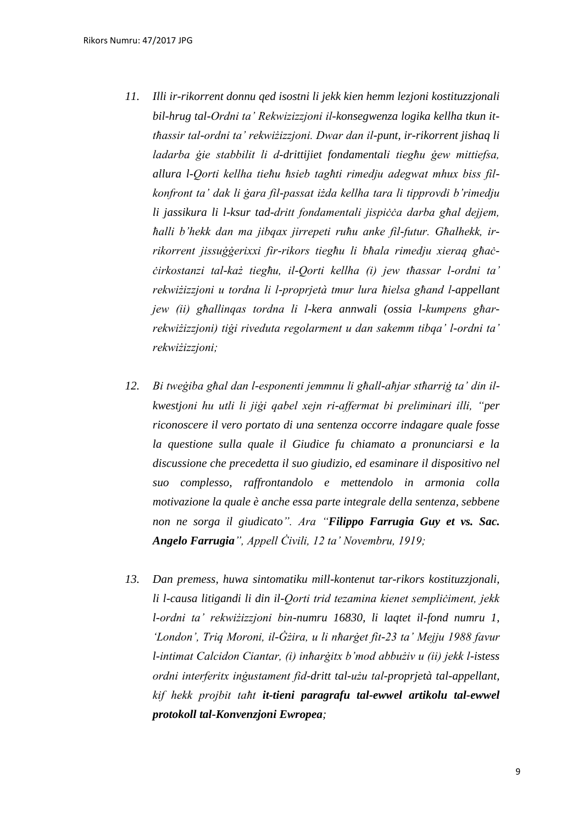- *11. Illi ir-rikorrent donnu qed isostni li jekk kien hemm lezjoni kostituzzjonali bil-hrug tal-Ordni ta' Rekwizizzjoni il-konsegwenza logika kellha tkun ittħassir tal-ordni ta' rekwiżizzjoni. Dwar dan il-punt, ir-rikorrent jishaq li ladarba ġie stabbilit li d-drittijiet fondamentali tiegħu ġew mittiefsa, allura l-Qorti kellha tieħu ħsieb tagħti rimedju adegwat mhux biss filkonfront ta' dak li ġara fil-passat iżda kellha tara li tipprovdi b'rimedju li jassikura li l-ksur tad-dritt fondamentali jispiċċa darba għal dejjem, ħalli b'hekk dan ma jibqax jirrepeti ruħu anke fil-futur. Għalhekk, irrikorrent jissuġġerixxi fir-rikors tiegħu li bħala rimedju xieraq għaċċirkostanzi tal-każ tiegħu, il-Qorti kellha (i) jew tħassar l-ordni ta' rekwiżizzjoni u tordna li l-proprjetà tmur lura ħielsa għand l-appellant jew (ii) għallinqas tordna li l-kera annwali (ossia l-kumpens għarrekwiżizzjoni) tiġi riveduta regolarment u dan sakemm tibqa' l-ordni ta' rekwiżizzjoni;*
- *12. Bi tweġiba għal dan l-esponenti jemmnu li għall-aħjar stħarriġ ta' din ilkwestjoni hu utli li jiġi qabel xejn ri-affermat bi preliminari illi, "per riconoscere il vero portato di una sentenza occorre indagare quale fosse la questione sulla quale il Giudice fu chiamato a pronunciarsi e la discussione che precedetta il suo giudizio, ed esaminare il dispositivo nel suo complesso, raffrontandolo e mettendolo in armonia colla motivazione la quale è anche essa parte integrale della sentenza, sebbene non ne sorga il giudicato". Ara "Filippo Farrugia Guy et vs. Sac. Angelo Farrugia", Appell Ċivili, 12 ta' Novembru, 1919;*
- *13. Dan premess, huwa sintomatiku mill-kontenut tar-rikors kostituzzjonali, li l-causa litigandi li din il-Qorti trid tezamina kienet sempliċiment, jekk l-ordni ta' rekwiżizzjoni bin-numru 16830, li laqtet il-fond numru 1, 'London', Triq Moroni, il-Ġżira, u li nħarġet fit-23 ta' Mejju 1988 favur l-intimat Calcidon Ciantar, (i) inħarġitx b'mod abbużiv u (ii) jekk l-istess ordni interferitx inġustament fid-dritt tal-użu tal-proprjetà tal-appellant, kif hekk projbit taħt it-tieni paragrafu tal-ewwel artikolu tal-ewwel protokoll tal-Konvenzjoni Ewropea;*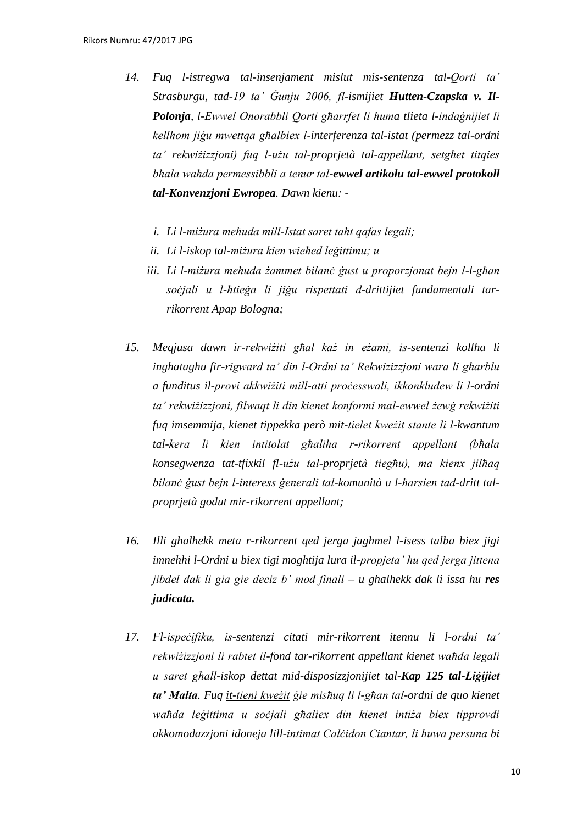- *14. Fuq l-istregwa tal-insenjament mislut mis-sentenza tal-Qorti ta' Strasburgu, tad-19 ta' Ġunju 2006, fl-ismijiet Hutten-Czapska v. Il-Polonja, l-Ewwel Onorabbli Qorti għarrfet li huma tlieta l-indaġnijiet li kellhom jiġu mwettqa għalbiex l-interferenza tal-istat (permezz tal-ordni ta' rekwiżizzjoni) fuq l-użu tal-proprjetà tal-appellant, setgħet titqies bħala waħda permessibbli a tenur tal-ewwel artikolu tal-ewwel protokoll tal-Konvenzjoni Ewropea. Dawn kienu:* 
	- *i. Li l-miżura meħuda mill-Istat saret taħt qafas legali;*
	- *ii. Li l-iskop tal-miżura kien wieħed leġittimu; u*
	- *iii. Li l-miżura meħuda żammet bilanċ ġust u proporzjonat bejn l-l-għan soċjali u l-ħtieġa li jiġu rispettati d-drittijiet fundamentali tarrikorrent Apap Bologna;*
- *15. Meqjusa dawn ir-rekwiżiti għal każ in eżami, is-sentenzi kollha li inghataghu fir-rigward ta' din l-Ordni ta' Rekwizizzjoni wara li għarblu a funditus il-provi akkwiżiti mill-atti proċesswali, ikkonkludew li l-ordni ta' rekwiżizzjoni, filwaqt li din kienet konformi mal-ewwel żewġ rekwiżiti fuq imsemmija, kienet tippekka però mit-tielet kweżit stante li l-kwantum tal-kera li kien intitolat għaliha r-rikorrent appellant (bħala konsegwenza tat-tfixkil fl-użu tal-proprjetà tiegħu), ma kienx jilħaq bilanċ ġust bejn l-interess ġenerali tal-komunità u l-ħarsien tad-dritt talproprjetà godut mir-rikorrent appellant;*
- *16. Illi ghalhekk meta r-rikorrent qed jerga jaghmel l-isess talba biex jigi imnehhi l-Ordni u biex tigi moghtija lura il-propjeta' hu qed jerga jittena jibdel dak li gia gie deciz b' mod finali – u ghalhekk dak li issa hu res judicata.*
- *17. Fl-ispeċifiku, is-sentenzi citati mir-rikorrent itennu li l-ordni ta' rekwiżizzjoni li rabtet il-fond tar-rikorrent appellant kienet waħda legali u saret għall-iskop dettat mid-disposizzjonijiet tal-Kap 125 tal-Liġijiet ta' Malta. Fuq it-tieni kweżit ġie misħuq li l-għan tal-ordni de quo kienet waħda leġittima u soċjali għaliex din kienet intiża biex tipprovdi akkomodazzjoni idoneja lill-intimat Calċidon Ciantar, li huwa persuna bi*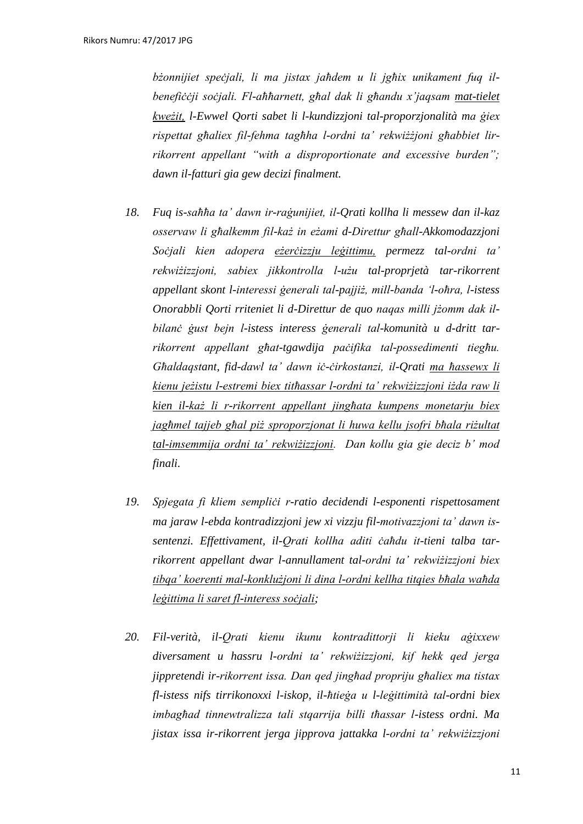*bżonnijiet speċjali, li ma jistax jaħdem u li jgħix unikament fuq ilbenefiċċji soċjali. Fl-aħħarnett, għal dak li għandu x'jaqsam mat-tielet kweżit, l-Ewwel Qorti sabet li l-kundizzjoni tal-proporzjonalità ma ġiex rispettat għaliex fil-fehma tagħha l-ordni ta' rekwiżżjoni għabbiet lirrikorrent appellant "with a disproportionate and excessive burden"; dawn il-fatturi gia gew decizi finalment.* 

- *18. Fuq is-saħħa ta' dawn ir-raġunijiet, il-Qrati kollha li messew dan il-kaz osservaw li għalkemm fil-każ in eżami d-Direttur għall-Akkomodazzjoni Soċjali kien adopera eżerċizzju leġittimu, permezz tal-ordni ta' rekwiżizzjoni, sabiex jikkontrolla l-użu tal-proprjetà tar-rikorrent appellant skont l-interessi ġenerali tal-pajjiż, mill-banda 'l-oħra, l-istess Onorabbli Qorti rriteniet li d-Direttur de quo naqas milli jżomm dak ilbilanċ ġust bejn l-istess interess ġenerali tal-komunità u d-dritt tarrikorrent appellant għat-tgawdija paċifika tal-possedimenti tiegħu. Għaldaqstant, fid-dawl ta' dawn iċ-ċirkostanzi, il-Qrati ma ħassewx li kienu jeżistu l-estremi biex titħassar l-ordni ta' rekwiżizzjoni iżda raw li kien il-każ li r-rikorrent appellant jingħata kumpens monetarju biex jagħmel tajjeb għal piż sproporzjonat li huwa kellu jsofri bħala riżultat tal-imsemmija ordni ta' rekwiżizzjoni. Dan kollu gia gie deciz b' mod finali.*
- *19. Spjegata fi kliem sempliċi r-ratio decidendi l-esponenti rispettosament ma jaraw l-ebda kontradizzjoni jew xi vizzju fil-motivazzjoni ta' dawn issentenzi. Effettivament, il-Qrati kollha aditi ċaħdu it-tieni talba tarrikorrent appellant dwar l-annullament tal-ordni ta' rekwiżizzjoni biex tibqa' koerenti mal-konklużjoni li dina l-ordni kellha titqies bħala waħda leġittima li saret fl-interess soċjali;*
- *20. Fil-verità, il-Qrati kienu ikunu kontradittorji li kieku aġixxew diversament u hassru l-ordni ta' rekwiżizzjoni, kif hekk qed jerga jippretendi ir-rikorrent issa. Dan qed jingħad propriju għaliex ma tistax fl-istess nifs tirrikonoxxi l-iskop, il-ħtieġa u l-leġittimità tal-ordni biex imbagħad tinnewtralizza tali stqarrija billi tħassar l-istess ordni. Ma jistax issa ir-rikorrent jerga jipprova jattakka l-ordni ta' rekwiżizzjoni*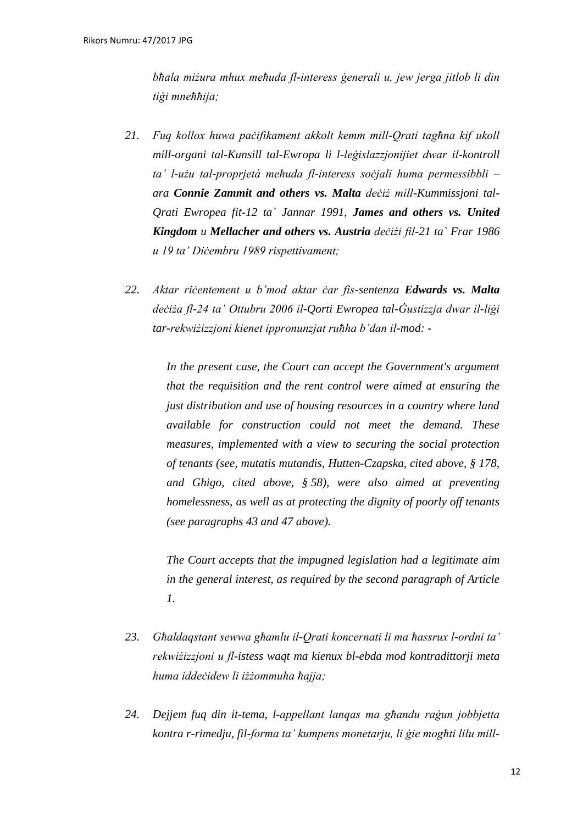*bħala miżura mhux meħuda fl-interess ġenerali u, jew jerga jitlob li din tiġi mneħħija;* 

- *21. Fuq kollox huwa paċifikament akkolt kemm mill-Qrati tagħna kif ukoll mill-organi tal-Kunsill tal-Ewropa li l-leġislazzjonijiet dwar il-kontroll ta' l-użu tal-proprjetà meħuda fl-interess soċjali huma permessibbli – ara Connie Zammit and others vs. Malta deċiż mill-Kummissjoni tal-Qrati Ewropea fit-12 ta` Jannar 1991, James and others vs. United Kingdom u Mellacher and others vs. Austria deċiżi fil-21 ta` Frar 1986 u 19 ta' Diċembru 1989 rispettivament;*
- *22. Aktar riċentement u b'mod aktar ċar fis-sentenza Edwards vs. Malta deċiża fl-24 ta' Ottubru 2006 il-Qorti Ewropea tal-Ġustizzja dwar il-liġi tar-rekwiżizzjoni kienet ippronunzjat ruħha b'dan il-mod: -*

*In the present case, the Court can accept the Government's argument that the requisition and the rent control were aimed at ensuring the just distribution and use of housing resources in a country where land available for construction could not meet the demand. These measures, implemented with a view to securing the social protection of tenants (see, mutatis mutandis, Hutten-Czapska, cited above, § 178, and Ghigo, cited above, § 58), were also aimed at preventing homelessness, as well as at protecting the dignity of poorly off tenants (see paragraphs 43 and 47 above).*

*The Court accepts that the impugned legislation had a legitimate aim in the general interest, as required by the second paragraph of Article 1.*

- *23. Għaldaqstant sewwa għamlu il-Qrati koncernati li ma ħassrux l-ordni ta' rekwiżizzjoni u fl-istess waqt ma kienux bl-ebda mod kontradittorji meta huma iddeċidew li iżżommuha ħajja;*
- *24. Dejjem fuq din it-tema, l-appellant lanqas ma għandu raġun jobbjetta kontra r-rimedju, fil-forma ta' kumpens monetarju, li ġie mogħti lilu mill-*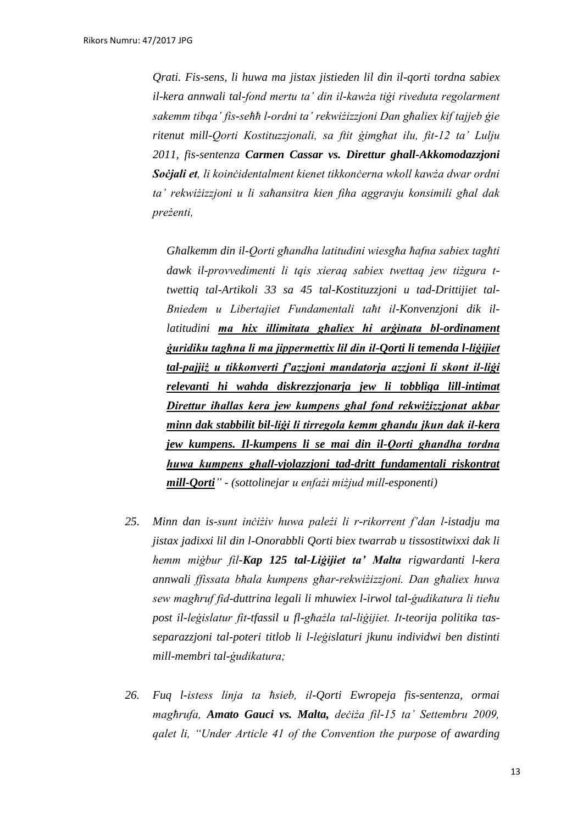*Qrati. Fis-sens, li huwa ma jistax jistieden lil din il-qorti tordna sabiex il-kera annwali tal-fond mertu ta' din il-kawża tiġi riveduta regolarment sakemm tibqa' fis-seħħ l-ordni ta' rekwiżizzjoni Dan għaliex kif tajjeb ġie ritenut mill-Qorti Kostituzzjonali, sa ftit ġimgħat ilu, fit-12 ta' Lulju 2011, fis-sentenza Carmen Cassar vs. Direttur ghall-Akkomodazzjoni Soċjali et, li koinċidentalment kienet tikkonċerna wkoll kawża dwar ordni ta' rekwiżizzjoni u li saħansitra kien fiha aggravju konsimili għal dak preżenti,* 

*Għalkemm din il-Qorti għandha latitudini wiesgħa ħafna sabiex tagħti dawk il-provvedimenti li tqis xieraq sabiex twettaq jew tiżgura ttwettiq tal-Artikoli 33 sa 45 tal-Kostituzzjoni u tad-Drittijiet tal-Bniedem u Libertajiet Fundamentali taħt il-Konvenzjoni dik illatitudini ma hix illimitata għaliex hi arġinata bl-ordinament ġuridiku tagħna li ma jippermettix lil din il-Qorti li temenda l-liġijiet tal-pajjiż u tikkonverti f'azzjoni mandatorja azzjoni li skont il-liġi relevanti hi wahda diskrezzjonarja jew li tobbliga lill-intimat Direttur iħallas kera jew kumpens għal fond rekwiżizzjonat akbar minn dak stabbilit bil-liġi li tirregola kemm għandu jkun dak il-kera jew kumpens. Il-kumpens li se mai din il-Qorti għandha tordna huwa kumpens għall-vjolazzjoni tad-dritt fundamentali riskontrat mill-Qorti" - (sottolinejar u enfażi miżjud mill-esponenti)*

- *25. Minn dan is-sunt inċiżiv huwa pależi li r-rikorrent f'dan l-istadju ma jistax jadixxi lil din l-Onorabbli Qorti biex twarrab u tissostitwixxi dak li hemm miġbur fil-Kap 125 tal-Liġijiet ta' Malta rigwardanti l-kera annwali ffissata bħala kumpens għar-rekwiżizzjoni. Dan għaliex huwa sew magħruf fid-duttrina legali li mhuwiex l-irwol tal-ġudikatura li tieħu post il-leġislatur fit-tfassil u fl-għażla tal-liġijiet. It-teorija politika tasseparazzjoni tal-poteri titlob li l-leġislaturi jkunu individwi ben distinti mill-membri tal-ġudikatura;*
- *26. Fuq l-istess linja ta ħsieb, il-Qorti Ewropeja fis-sentenza, ormai magħrufa, Amato Gauci vs. Malta, deċiża fil-15 ta' Settembru 2009, qalet li, "Under Article 41 of the Convention the purpose of awarding*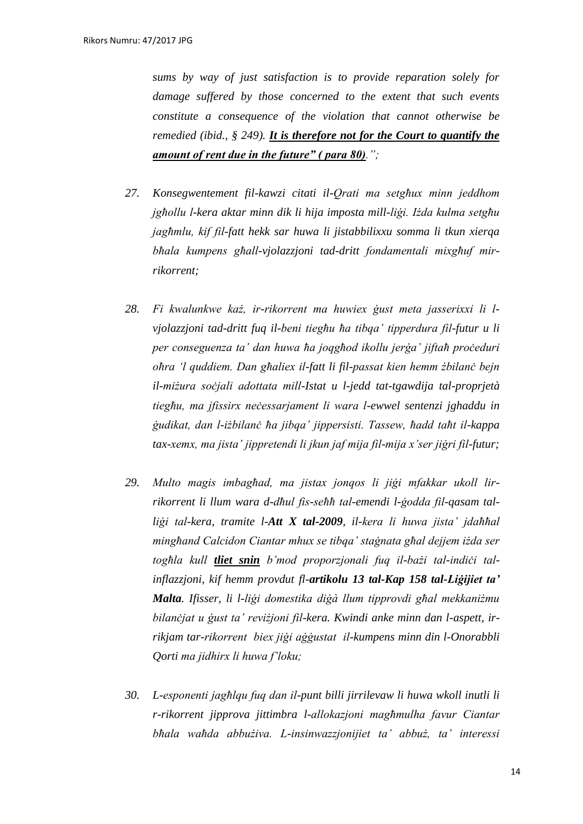*sums by way of just satisfaction is to provide reparation solely for damage suffered by those concerned to the extent that such events constitute a consequence of the violation that cannot otherwise be remedied (ibid., § 249). It is therefore not for the Court to quantify the amount of rent due in the future" ( para 80).";*

- *27. Konsegwentement fil-kawzi citati il-Qrati ma setgħux minn jeddhom jgħollu l-kera aktar minn dik li hija imposta mill-liġi. Iżda kulma setgħu jagħmlu, kif fil-fatt hekk sar huwa li jistabbilixxu somma li tkun xierqa bħala kumpens għall-vjolazzjoni tad-dritt fondamentali mixgħuf mirrikorrent;*
- *28. Fi kwalunkwe każ, ir-rikorrent ma huwiex ġust meta jasserixxi li lvjolazzjoni tad-dritt fuq il-beni tiegħu ħa tibqa' tipperdura fil-futur u li per conseguenza ta' dan huwa ħa joqgħod ikollu jerġa' jiftaħ proċeduri oħra 'l quddiem. Dan għaliex il-fatt li fil-passat kien hemm żbilanċ bejn il-miżura soċjali adottata mill-Istat u l-jedd tat-tgawdija tal-proprjetà tiegħu, ma jfissirx neċessarjament li wara l-ewwel sentenzi jghaddu in ġudikat, dan l-iżbilanċ ħa jibqa' jippersisti. Tassew, ħadd taħt il-kappa tax-xemx, ma jista' jippretendi li jkun jaf mija fil-mija x'ser jiġri fil-futur;*
- *29. Multo magis imbagħad, ma jistax jonqos li jiġi mfakkar ukoll lirrikorrent li llum wara d-dħul fis-seħħ tal-emendi l-ġodda fil-qasam talliġi tal-kera, tramite l-Att X tal-2009, il-kera li huwa jista' jdaħħal mingħand Calcidon Ciantar mhux se tibqa' staġnata għal dejjem iżda ser togħla kull tliet snin b'mod proporzjonali fuq il-bażi tal-indiċi talinflazzjoni, kif hemm provdut fl-artikolu 13 tal-Kap 158 tal-Liġijiet ta' Malta. Ifisser, li l-liġi domestika diġà llum tipprovdi għal mekkaniżmu bilanċjat u ġust ta' reviżjoni fil-kera. Kwindi anke minn dan l-aspett, irrikjam tar-rikorrent biex jiġi aġġustat il-kumpens minn din l-Onorabbli Qorti ma jidhirx li huwa f'loku;*
- *30. L-esponenti jagħlqu fuq dan il-punt billi jirrilevaw li huwa wkoll inutli li r-rikorrent jipprova jittimbra l-allokazjoni magħmulha favur Ciantar bħala waħda abbużiva. L-insinwazzjonijiet ta' abbuż, ta' interessi*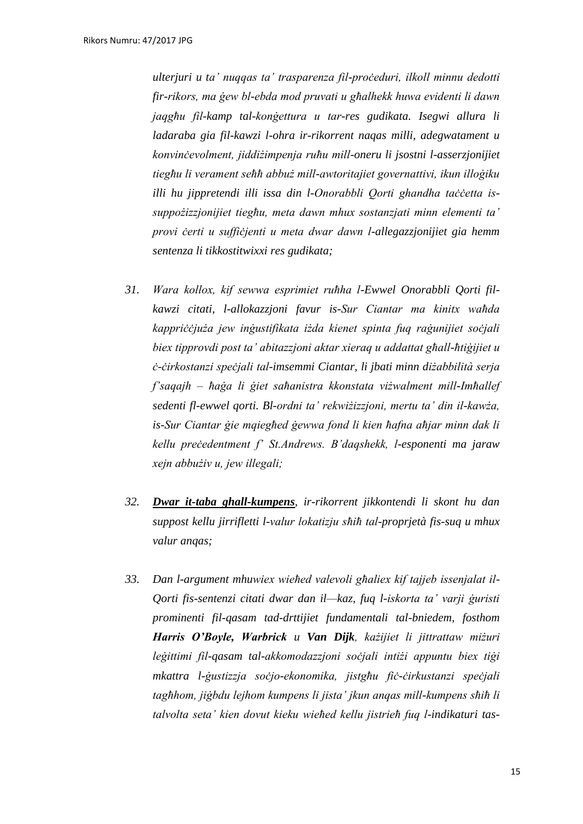*ulterjuri u ta' nuqqas ta' trasparenza fil-proċeduri, ilkoll minnu dedotti fir-rikors, ma ġew bl-ebda mod pruvati u għalhekk huwa evidenti li dawn jaqgħu fil-kamp tal-konġettura u tar-res gudikata. Isegwi allura li ladaraba gia fil-kawzi l-ohra ir-rikorrent naqas milli, adegwatament u konvinċevolment, jiddiżimpenja ruħu mill-oneru li jsostni l-asserzjonijiet tiegħu li verament seħħ abbuż mill-awtoritajiet governattivi, ikun illoġiku illi hu jippretendi illi issa din l-Onorabbli Qorti ghandha taċċetta issuppożizzjonijiet tiegħu, meta dawn mhux sostanzjati minn elementi ta' provi ċerti u suffiċjenti u meta dwar dawn l-allegazzjonijiet gia hemm sentenza li tikkostitwixxi res gudikata;* 

- *31. Wara kollox, kif sewwa esprimiet ruħha l-Ewwel Onorabbli Qorti filkawzi citati, l-allokazzjoni favur is-Sur Ciantar ma kinitx waħda kappriċċjuża jew inġustifikata iżda kienet spinta fuq raġunijiet soċjali biex tipprovdi post ta' abitazzjoni aktar xieraq u addattat għall-ħtiġijiet u ċ-ċirkostanzi speċjali tal-imsemmi Ciantar, li jbati minn diżabbilità serja f'saqajh – ħaġa li ġiet saħanistra kkonstata viżwalment mill-Imħallef sedenti fl-ewwel qorti. Bl-ordni ta' rekwiżizzjoni, mertu ta' din il-kawża, is-Sur Ciantar ġie mqiegħed ġewwa fond li kien ħafna aħjar minn dak li kellu preċedentment f' St.Andrews. B'daqshekk, l-esponenti ma jaraw xejn abbużiv u, jew illegali;*
- *32. Dwar it-taba ghall-kumpens, ir-rikorrent jikkontendi li skont hu dan suppost kellu jirrifletti l-valur lokatizju sħiħ tal-proprjetà fis-suq u mhux valur anqas;*
- *33. Dan l-argument mhuwiex wieħed valevoli għaliex kif tajjeb issenjalat il-Qorti fis-sentenzi citati dwar dan il—kaz, fuq l-iskorta ta' varji ġuristi prominenti fil-qasam tad-drttijiet fundamentali tal-bniedem, fosthom Harris O'Boyle, Warbrick u Van Dijk, każijiet li jittrattaw miżuri leġittimi fil-qasam tal-akkomodazzjoni soċjali intiżi appuntu biex tiġi mkattra l-ġustizzja soċjo-ekonomika, jistgħu fiċ-ċirkustanzi speċjali tagħhom, jiġbdu lejhom kumpens li jista' jkun anqas mill-kumpens sħiħ li talvolta seta' kien dovut kieku wieħed kellu jistrieħ fuq l-indikaturi tas-*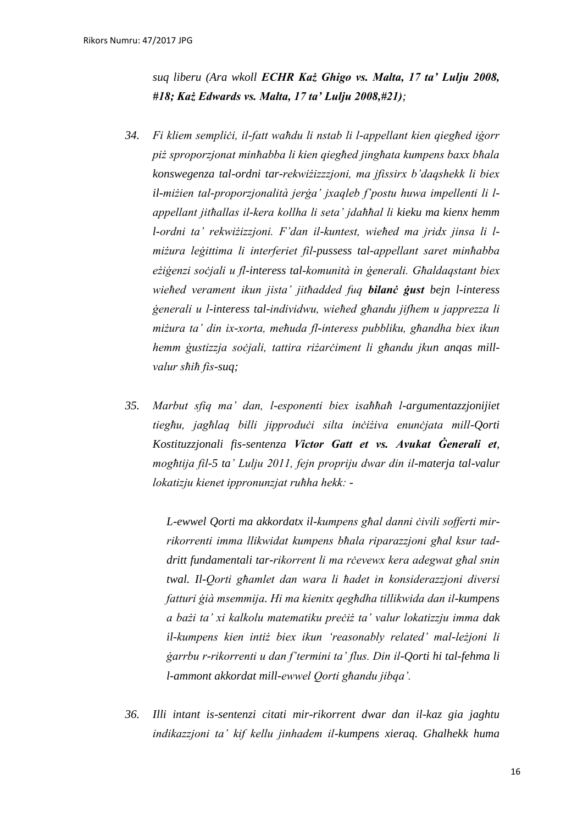*suq liberu (Ara wkoll ECHR Każ Ghigo vs. Malta, 17 ta' Lulju 2008, #18; Każ Edwards vs. Malta, 17 ta' Lulju 2008,#21);*

- *34. Fi kliem sempliċi, il-fatt waħdu li nstab li l-appellant kien qiegħed iġorr piż sproporzjonat minħabba li kien qiegħed jingħata kumpens baxx bħala konswegenza tal-ordni tar-rekwiżizzzjoni, ma jfissirx b'daqshekk li biex il-miżien tal-proporzjonalità jerġa' jxaqleb f'postu huwa impellenti li lappellant jitħallas il-kera kollha li seta' jdaħħal li kieku ma kienx hemm l-ordni ta' rekwiżizzjoni. F'dan il-kuntest, wieħed ma jridx jinsa li lmiżura leġittima li interferiet fil-pussess tal-appellant saret minħabba eżiġenzi soċjali u fl-interess tal-komunità in ġenerali. Għaldaqstant biex wieħed verament ikun jista' jitħadded fuq bilanċ ġust bejn l-interess ġenerali u l-interess tal-individwu, wieħed għandu jifhem u japprezza li miżura ta' din ix-xorta, meħuda fl-interess pubbliku, għandha biex ikun hemm ġustizzja soċjali, tattira riżarċiment li għandu jkun anqas millvalur sħiħ fis-suq;*
- *35. Marbut sfiq ma' dan, l-esponenti biex isaħħaħ l-argumentazzjonijiet tiegħu, jagħlaq billi jipproduċi silta inċiżiva enunċjata mill-Qorti Kostituzzjonali fis-sentenza Victor Gatt et vs. Avukat Ġenerali et, mogħtija fil-5 ta' Lulju 2011, fejn propriju dwar din il-materja tal-valur lokatizju kienet ippronunzjat ruħha hekk: -*

*L-ewwel Qorti ma akkordatx il-kumpens għal danni ċivili sofferti mirrikorrenti imma llikwidat kumpens bħala riparazzjoni għal ksur taddritt fundamentali tar-rikorrent li ma rċevewx kera adegwat għal snin twal. Il-Qorti għamlet dan wara li ħadet in konsiderazzjoni diversi fatturi ġià msemmija. Hi ma kienitx qegħdha tillikwida dan il-kumpens a bażi ta' xi kalkolu matematiku preċiż ta' valur lokatizzju imma dak il-kumpens kien intiż biex ikun 'reasonably related' mal-leżjoni li ġarrbu r-rikorrenti u dan f'termini ta' flus. Din il-Qorti hi tal-fehma li l-ammont akkordat mill-ewwel Qorti għandu jibqa'.*

*36. Illi intant is-sentenzi citati mir-rikorrent dwar dan il-kaz gia jaghtu indikazzjoni ta' kif kellu jinhadem il-kumpens xieraq. Ghalhekk huma*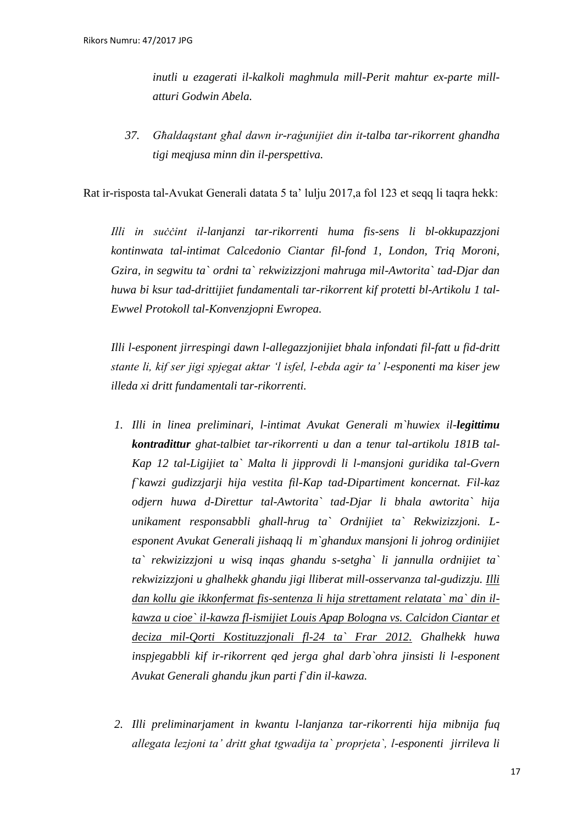*inutli u ezagerati il-kalkoli maghmula mill-Perit mahtur ex-parte millatturi Godwin Abela.* 

*37. Għaldaqstant għal dawn ir-raġunijiet din it-talba tar-rikorrent ghandha tigi meqjusa minn din il-perspettiva.* 

Rat ir-risposta tal-Avukat Generali datata 5 ta' lulju 2017,a fol 123 et seqq li taqra hekk:

*Illi in suċċint il-lanjanzi tar-rikorrenti huma fis-sens li bl-okkupazzjoni kontinwata tal-intimat Calcedonio Ciantar fil-fond 1, London, Triq Moroni, Gzira, in segwitu ta` ordni ta` rekwizizzjoni mahruga mil-Awtorita` tad-Djar dan huwa bi ksur tad-drittijiet fundamentali tar-rikorrent kif protetti bl-Artikolu 1 tal-Ewwel Protokoll tal-Konvenzjopni Ewropea.* 

*Illi l-esponent jirrespingi dawn l-allegazzjonijiet bhala infondati fil-fatt u fid-dritt stante li, kif ser jigi spjegat aktar 'l isfel, l-ebda agir ta' l-esponenti ma kiser jew illeda xi dritt fundamentali tar-rikorrenti.* 

- *1. Illi in linea preliminari, l-intimat Avukat Generali m`huwiex il-legittimu kontradittur ghat-talbiet tar-rikorrenti u dan a tenur tal-artikolu 181B tal-Kap 12 tal-Ligijiet ta` Malta li jipprovdi li l-mansjoni guridika tal-Gvern f`kawzi gudizzjarji hija vestita fil-Kap tad-Dipartiment koncernat. Fil-kaz odjern huwa d-Direttur tal-Awtorita` tad-Djar li bhala awtorita` hija unikament responsabbli ghall-hrug ta` Ordnijiet ta` Rekwizizzjoni. Lesponent Avukat Generali jishaqq li m`ghandux mansjoni li johrog ordinijiet ta` rekwizizzjoni u wisq inqas ghandu s-setgha` li jannulla ordnijiet ta` rekwizizzjoni u ghalhekk ghandu jigi lliberat mill-osservanza tal-gudizzju. Illi dan kollu gie ikkonfermat fis-sentenza li hija strettament relatata` ma` din ilkawza u cioe` il-kawza fl-ismijiet Louis Apap Bologna vs. Calcidon Ciantar et deciza mil-Qorti Kostituzzjonali fl-24 ta` Frar 2012. Ghalhekk huwa inspjegabbli kif ir-rikorrent qed jerga ghal darb`ohra jinsisti li l-esponent Avukat Generali ghandu jkun parti f`din il-kawza.*
- *2. Illi preliminarjament in kwantu l-lanjanza tar-rikorrenti hija mibnija fuq allegata lezjoni ta' dritt ghat tgwadija ta` proprjeta`, l-esponenti jirrileva li*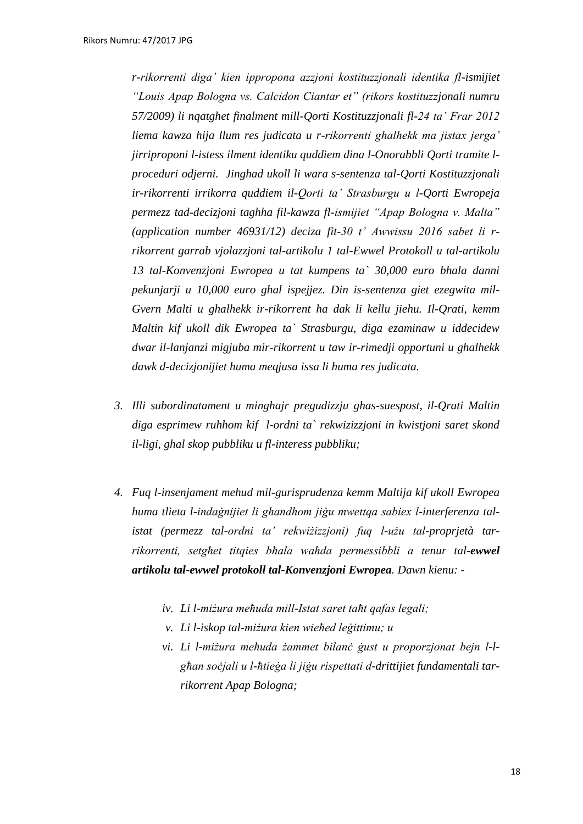*r-rikorrenti diga' kien ippropona azzjoni kostituzzjonali identika fl-ismijiet "Louis Apap Bologna vs. Calcidon Ciantar et" (rikors kostituzzjonali numru 57/2009) li nqatghet finalment mill-Qorti Kostituzzjonali fl-24 ta' Frar 2012 liema kawza hija llum res judicata u r-rikorrenti ghalhekk ma jistax jerga' jirriproponi l-istess ilment identiku quddiem dina l-Onorabbli Qorti tramite lproceduri odjerni. Jinghad ukoll li wara s-sentenza tal-Qorti Kostituzzjonali ir-rikorrenti irrikorra quddiem il-Qorti ta' Strasburgu u l-Qorti Ewropeja permezz tad-decizjoni taghha fil-kawza fl-ismijiet "Apap Bologna v. Malta" (application number 46931/12) deciza fit-30 t' Awwissu 2016 sabet li rrikorrent garrab vjolazzjoni tal-artikolu 1 tal-Ewwel Protokoll u tal-artikolu 13 tal-Konvenzjoni Ewropea u tat kumpens ta` 30,000 euro bhala danni pekunjarji u 10,000 euro ghal ispejjez. Din is-sentenza giet ezegwita mil-Gvern Malti u ghalhekk ir-rikorrent ha dak li kellu jiehu. Il-Qrati, kemm Maltin kif ukoll dik Ewropea ta` Strasburgu, diga ezaminaw u iddecidew dwar il-lanjanzi migjuba mir-rikorrent u taw ir-rimedji opportuni u ghalhekk dawk d-decizjonijiet huma meqjusa issa li huma res judicata.*

- *3. Illi subordinatament u minghajr pregudizzju ghas-suespost, il-Qrati Maltin diga esprimew ruhhom kif l-ordni ta` rekwizizzjoni in kwistjoni saret skond il-ligi, ghal skop pubbliku u fl-interess pubbliku;*
- *4. Fuq l-insenjament mehud mil-gurisprudenza kemm Maltija kif ukoll Ewropea huma tlieta l-indaġnijiet li ghandhom jiġu mwettqa sabiex l-interferenza talistat (permezz tal-ordni ta' rekwiżizzjoni) fuq l-użu tal-proprjetà tarrikorrenti, setgħet titqies bħala waħda permessibbli a tenur tal-ewwel artikolu tal-ewwel protokoll tal-Konvenzjoni Ewropea. Dawn kienu:* 
	- *iv. Li l-miżura meħuda mill-Istat saret taħt qafas legali;*
	- *v. Li l-iskop tal-miżura kien wieħed leġittimu; u*
	- *vi. Li l-miżura meħuda żammet bilanċ ġust u proporzjonat bejn l-lgħan soċjali u l-ħtieġa li jiġu rispettati d-drittijiet fundamentali tarrikorrent Apap Bologna;*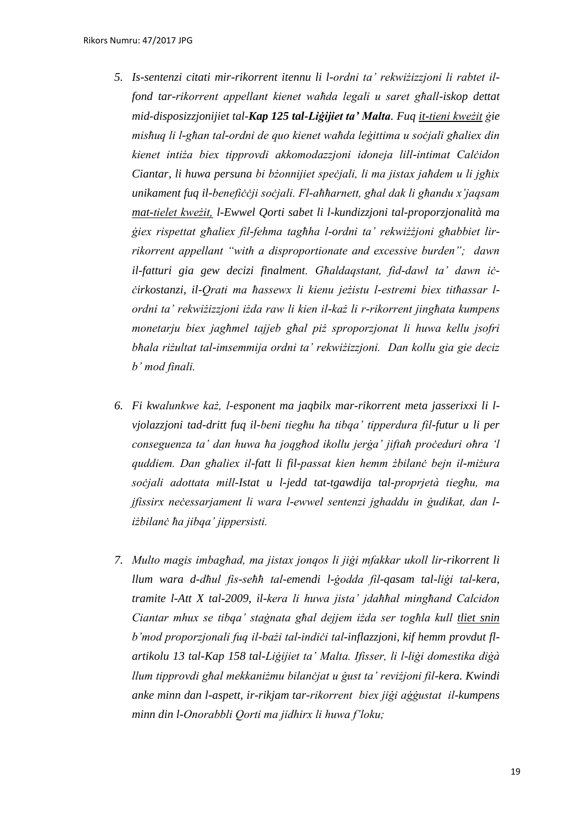- *5. Is-sentenzi citati mir-rikorrent itennu li l-ordni ta' rekwiżizzjoni li rabtet ilfond tar-rikorrent appellant kienet waħda legali u saret għall-iskop dettat mid-disposizzjonijiet tal-Kap 125 tal-Liġijiet ta' Malta. Fuq it-tieni kweżit ġie misħuq li l-għan tal-ordni de quo kienet waħda leġittima u soċjali għaliex din kienet intiża biex tipprovdi akkomodazzjoni idoneja lill-intimat Calċidon Ciantar, li huwa persuna bi bżonnijiet speċjali, li ma jistax jaħdem u li jgħix unikament fuq il-benefiċċji soċjali. Fl-aħħarnett, għal dak li għandu x'jaqsam mat-tielet kweżit, l-Ewwel Qorti sabet li l-kundizzjoni tal-proporzjonalità ma ġiex rispettat għaliex fil-fehma tagħha l-ordni ta' rekwiżżjoni għabbiet lirrikorrent appellant "with a disproportionate and excessive burden"; dawn il-fatturi gia gew decizi finalment. Għaldaqstant, fid-dawl ta' dawn iċċirkostanzi, il-Qrati ma ħassewx li kienu jeżistu l-estremi biex titħassar lordni ta' rekwiżizzjoni iżda raw li kien il-każ li r-rikorrent jingħata kumpens monetarju biex jagħmel tajjeb għal piż sproporzjonat li huwa kellu jsofri bħala riżultat tal-imsemmija ordni ta' rekwiżizzjoni. Dan kollu gia gie deciz b' mod finali.*
- *6. Fi kwalunkwe każ, l-esponent ma jaqbilx mar-rikorrent meta jasserixxi li lvjolazzjoni tad-dritt fuq il-beni tiegħu ħa tibqa' tipperdura fil-futur u li per conseguenza ta' dan huwa ħa joqgħod ikollu jerġa' jiftaħ proċeduri oħra 'l quddiem. Dan għaliex il-fatt li fil-passat kien hemm żbilanċ bejn il-miżura soċjali adottata mill-Istat u l-jedd tat-tgawdija tal-proprjetà tiegħu, ma jfissirx neċessarjament li wara l-ewwel sentenzi jghaddu in ġudikat, dan liżbilanċ ħa jibqa' jippersisti.*
- *7. Multo magis imbagħad, ma jistax jonqos li jiġi mfakkar ukoll lir-rikorrent li llum wara d-dħul fis-seħħ tal-emendi l-ġodda fil-qasam tal-liġi tal-kera, tramite l-Att X tal-2009, il-kera li huwa jista' jdaħħal mingħand Calcidon Ciantar mhux se tibqa' staġnata għal dejjem iżda ser togħla kull tliet snin b'mod proporzjonali fuq il-bażi tal-indiċi tal-inflazzjoni, kif hemm provdut flartikolu 13 tal-Kap 158 tal-Liġijiet ta' Malta. Ifisser, li l-liġi domestika diġà llum tipprovdi għal mekkaniżmu bilanċjat u ġust ta' reviżjoni fil-kera. Kwindi anke minn dan l-aspett, ir-rikjam tar-rikorrent biex jiġi aġġustat il-kumpens minn din l-Onorabbli Qorti ma jidhirx li huwa f'loku;*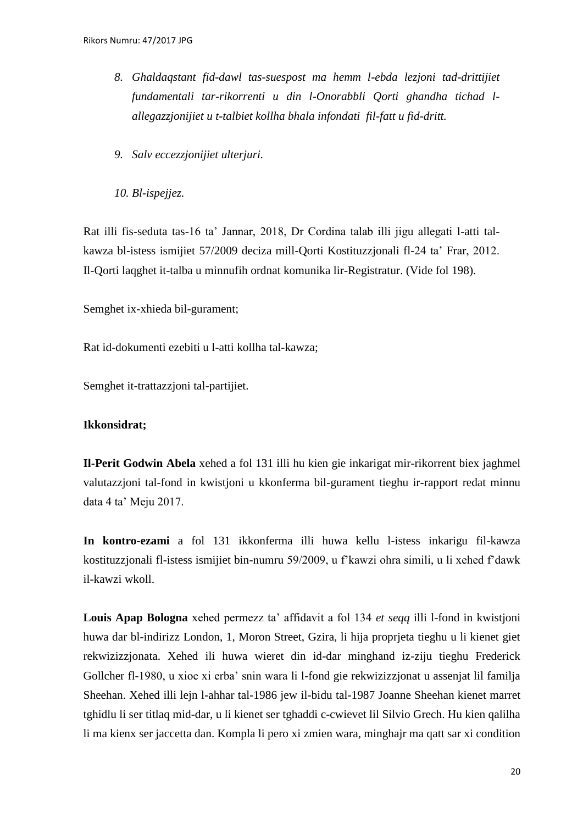- *8. Ghaldaqstant fid-dawl tas-suespost ma hemm l-ebda lezjoni tad-drittijiet fundamentali tar-rikorrenti u din l-Onorabbli Qorti ghandha tichad lallegazzjonijiet u t-talbiet kollha bhala infondati fil-fatt u fid-dritt.*
- *9. Salv eccezzjonijiet ulterjuri.*

*10. Bl-ispejjez.* 

Rat illi fis-seduta tas-16 ta' Jannar, 2018, Dr Cordina talab illi jigu allegati l-atti talkawza bl-istess ismijiet 57/2009 deciza mill-Qorti Kostituzzjonali fl-24 ta' Frar, 2012. Il-Qorti laqghet it-talba u minnufih ordnat komunika lir-Registratur. (Vide fol 198).

Semghet ix-xhieda bil-gurament;

Rat id-dokumenti ezebiti u l-atti kollha tal-kawza;

Semghet it-trattazzjoni tal-partijiet.

# **Ikkonsidrat;**

**Il-Perit Godwin Abela** xehed a fol 131 illi hu kien gie inkarigat mir-rikorrent biex jaghmel valutazzjoni tal-fond in kwistjoni u kkonferma bil-gurament tieghu ir-rapport redat minnu data 4 ta' Meju 2017.

**In kontro-ezami** a fol 131 ikkonferma illi huwa kellu l-istess inkarigu fil-kawza kostituzzjonali fl-istess ismijiet bin-numru 59/2009, u f'kawzi ohra simili, u li xehed f'dawk il-kawzi wkoll.

**Louis Apap Bologna** xehed permezz ta' affidavit a fol 134 *et seqq* illi l-fond in kwistjoni huwa dar bl-indirizz London, 1, Moron Street, Gzira, li hija proprjeta tieghu u li kienet giet rekwizizzjonata. Xehed ili huwa wieret din id-dar minghand iz-ziju tieghu Frederick Gollcher fl-1980, u xioe xi erba' snin wara li l-fond gie rekwizizzjonat u assenjat lil familja Sheehan. Xehed illi lejn l-ahhar tal-1986 jew il-bidu tal-1987 Joanne Sheehan kienet marret tghidlu li ser titlaq mid-dar, u li kienet ser tghaddi c-cwievet lil Silvio Grech. Hu kien qalilha li ma kienx ser jaccetta dan. Kompla li pero xi zmien wara, minghajr ma qatt sar xi condition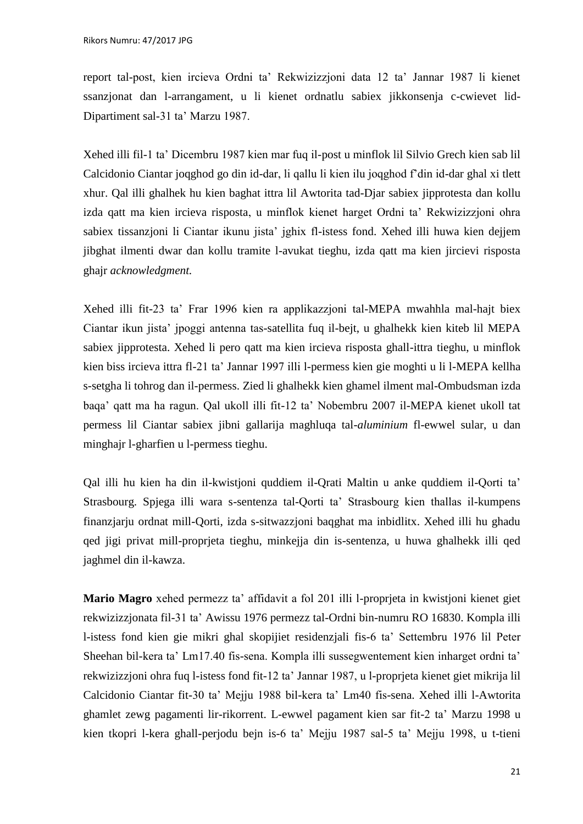report tal-post, kien ircieva Ordni ta' Rekwizizzjoni data 12 ta' Jannar 1987 li kienet ssanzjonat dan l-arrangament, u li kienet ordnatlu sabiex jikkonsenja c-cwievet lid-Dipartiment sal-31 ta' Marzu 1987.

Xehed illi fil-1 ta' Dicembru 1987 kien mar fuq il-post u minflok lil Silvio Grech kien sab lil Calcidonio Ciantar joqghod go din id-dar, li qallu li kien ilu joqghod f'din id-dar ghal xi tlett xhur. Qal illi ghalhek hu kien baghat ittra lil Awtorita tad-Djar sabiex jipprotesta dan kollu izda qatt ma kien ircieva risposta, u minflok kienet harget Ordni ta' Rekwizizzjoni ohra sabiex tissanzjoni li Ciantar ikunu jista' jghix fl-istess fond. Xehed illi huwa kien dejjem jibghat ilmenti dwar dan kollu tramite l-avukat tieghu, izda qatt ma kien jircievi risposta ghajr *acknowledgment.* 

Xehed illi fit-23 ta' Frar 1996 kien ra applikazzjoni tal-MEPA mwahhla mal-hajt biex Ciantar ikun jista' jpoggi antenna tas-satellita fuq il-bejt, u ghalhekk kien kiteb lil MEPA sabiex jipprotesta. Xehed li pero qatt ma kien ircieva risposta ghall-ittra tieghu, u minflok kien biss ircieva ittra fl-21 ta' Jannar 1997 illi l-permess kien gie moghti u li l-MEPA kellha s-setgha li tohrog dan il-permess. Zied li ghalhekk kien ghamel ilment mal-Ombudsman izda baqa' qatt ma ha ragun. Qal ukoll illi fit-12 ta' Nobembru 2007 il-MEPA kienet ukoll tat permess lil Ciantar sabiex jibni gallarija maghluqa tal-*aluminium* fl-ewwel sular, u dan minghajr l-gharfien u l-permess tieghu.

Qal illi hu kien ha din il-kwistjoni quddiem il-Qrati Maltin u anke quddiem il-Qorti ta' Strasbourg. Spjega illi wara s-sentenza tal-Qorti ta' Strasbourg kien thallas il-kumpens finanzjarju ordnat mill-Qorti, izda s-sitwazzjoni baqghat ma inbidlitx. Xehed illi hu ghadu qed jigi privat mill-proprjeta tieghu, minkejja din is-sentenza, u huwa ghalhekk illi qed jaghmel din il-kawza.

**Mario Magro** xehed permezz ta' affidavit a fol 201 illi l-proprjeta in kwistjoni kienet giet rekwizizzjonata fil-31 ta' Awissu 1976 permezz tal-Ordni bin-numru RO 16830. Kompla illi l-istess fond kien gie mikri ghal skopijiet residenzjali fis-6 ta' Settembru 1976 lil Peter Sheehan bil-kera ta' Lm17.40 fis-sena. Kompla illi sussegwentement kien inharget ordni ta' rekwizizzjoni ohra fuq l-istess fond fit-12 ta' Jannar 1987, u l-proprjeta kienet giet mikrija lil Calcidonio Ciantar fit-30 ta' Mejju 1988 bil-kera ta' Lm40 fis-sena. Xehed illi l-Awtorita ghamlet zewg pagamenti lir-rikorrent. L-ewwel pagament kien sar fit-2 ta' Marzu 1998 u kien tkopri l-kera ghall-perjodu bejn is-6 ta' Mejju 1987 sal-5 ta' Mejju 1998, u t-tieni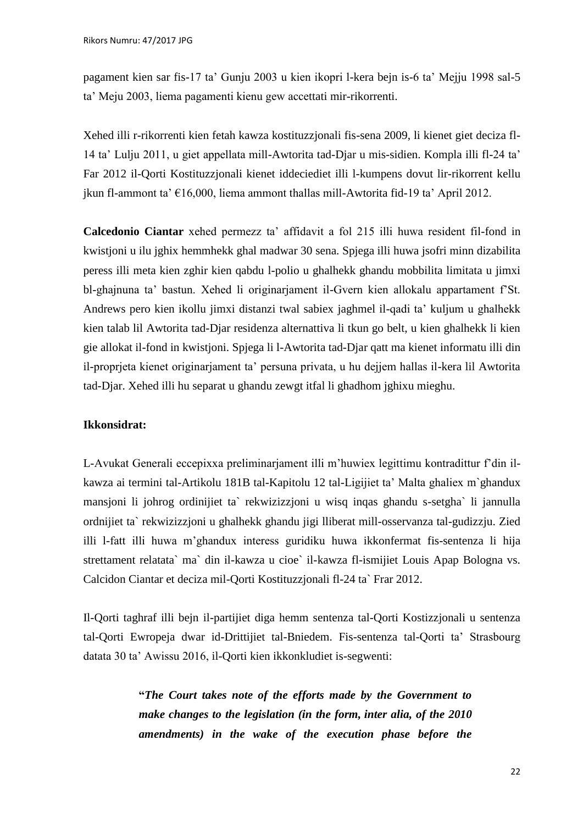pagament kien sar fis-17 ta' Gunju 2003 u kien ikopri l-kera bejn is-6 ta' Mejju 1998 sal-5 ta' Meju 2003, liema pagamenti kienu gew accettati mir-rikorrenti.

Xehed illi r-rikorrenti kien fetah kawza kostituzzjonali fis-sena 2009, li kienet giet deciza fl-14 ta' Lulju 2011, u giet appellata mill-Awtorita tad-Djar u mis-sidien. Kompla illi fl-24 ta' Far 2012 il-Qorti Kostituzzjonali kienet iddeciediet illi l-kumpens dovut lir-rikorrent kellu jkun fl-ammont ta' €16,000, liema ammont thallas mill-Awtorita fid-19 ta' April 2012.

**Calcedonio Ciantar** xehed permezz ta' affidavit a fol 215 illi huwa resident fil-fond in kwistjoni u ilu jghix hemmhekk ghal madwar 30 sena. Spjega illi huwa jsofri minn dizabilita peress illi meta kien zghir kien qabdu l-polio u ghalhekk ghandu mobbilita limitata u jimxi bl-ghajnuna ta' bastun. Xehed li originarjament il-Gvern kien allokalu appartament f'St. Andrews pero kien ikollu jimxi distanzi twal sabiex jaghmel il-qadi ta' kuljum u ghalhekk kien talab lil Awtorita tad-Djar residenza alternattiva li tkun go belt, u kien ghalhekk li kien gie allokat il-fond in kwistjoni. Spjega li l-Awtorita tad-Djar qatt ma kienet informatu illi din il-proprjeta kienet originarjament ta' persuna privata, u hu dejjem hallas il-kera lil Awtorita tad-Djar. Xehed illi hu separat u ghandu zewgt itfal li ghadhom jghixu mieghu.

# **Ikkonsidrat:**

L-Avukat Generali eccepixxa preliminarjament illi m'huwiex legittimu kontradittur f'din ilkawza ai termini tal-Artikolu 181B tal-Kapitolu 12 tal-Ligijiet ta' Malta ghaliex m`ghandux mansjoni li johrog ordinijiet ta` rekwizizzjoni u wisq inqas ghandu s-setgha` li jannulla ordnijiet ta` rekwizizzjoni u ghalhekk ghandu jigi lliberat mill-osservanza tal-gudizzju. Zied illi l-fatt illi huwa m'ghandux interess guridiku huwa ikkonfermat fis-sentenza li hija strettament relatata` ma` din il-kawza u cioe` il-kawza fl-ismijiet Louis Apap Bologna vs. Calcidon Ciantar et deciza mil-Qorti Kostituzzjonali fl-24 ta` Frar 2012.

Il-Qorti taghraf illi bejn il-partijiet diga hemm sentenza tal-Qorti Kostizzjonali u sentenza tal-Qorti Ewropeja dwar id-Drittijiet tal-Bniedem. Fis-sentenza tal-Qorti ta' Strasbourg datata 30 ta' Awissu 2016, il-Qorti kien ikkonkludiet is-segwenti:

> **"***The Court takes note of the efforts made by the Government to make changes to the legislation (in the form, inter alia, of the 2010 amendments) in the wake of the execution phase before the*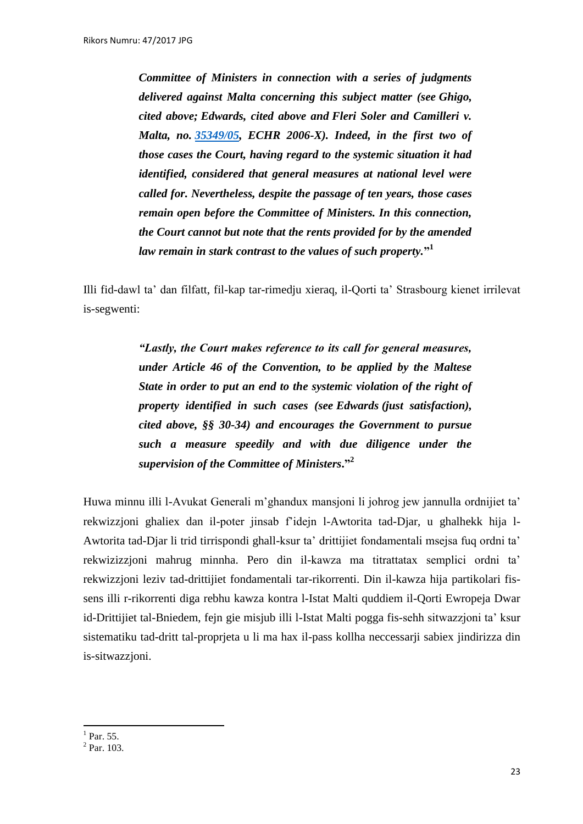*Committee of Ministers in connection with a series of judgments delivered against Malta concerning this subject matter (see Ghigo, cited above; Edwards, cited above and Fleri Soler and Camilleri v. Malta, no. [35349/05,](https://hudoc.echr.coe.int/eng#{%22appno%22:[%2235349/05%22]}) ECHR 2006-X). Indeed, in the first two of those cases the Court, having regard to the systemic situation it had identified, considered that general measures at national level were called for. Nevertheless, despite the passage of ten years, those cases remain open before the Committee of Ministers. In this connection, the Court cannot but note that the rents provided for by the amended law remain in stark contrast to the values of such property.***" 1**

Illi fid-dawl ta' dan filfatt, fil-kap tar-rimedju xieraq, il-Qorti ta' Strasbourg kienet irrilevat is-segwenti:

> *"Lastly, the Court makes reference to its call for general measures, under Article 46 of the Convention, to be applied by the Maltese State in order to put an end to the systemic violation of the right of property identified in such cases (see Edwards (just satisfaction), cited above, §§ 30-34) and encourages the Government to pursue such a measure speedily and with due diligence under the supervision of the Committee of Ministers***."<sup>2</sup>**

Huwa minnu illi l-Avukat Generali m'ghandux mansjoni li johrog jew jannulla ordnijiet ta' rekwizzjoni ghaliex dan il-poter jinsab f'idejn l-Awtorita tad-Djar, u ghalhekk hija l-Awtorita tad-Djar li trid tirrispondi ghall-ksur ta' drittijiet fondamentali msejsa fuq ordni ta' rekwizizzjoni mahrug minnha. Pero din il-kawza ma titrattatax semplici ordni ta' rekwizzjoni leziv tad-drittijiet fondamentali tar-rikorrenti. Din il-kawza hija partikolari fissens illi r-rikorrenti diga rebhu kawza kontra l-Istat Malti quddiem il-Qorti Ewropeja Dwar id-Drittijiet tal-Bniedem, fejn gie misjub illi l-Istat Malti pogga fis-sehh sitwazzjoni ta' ksur sistematiku tad-dritt tal-proprjeta u li ma hax il-pass kollha neccessarji sabiex jindirizza din is-sitwazzjoni.

 $\frac{1}{1}$  Par. 55.

 $2$  Par. 103.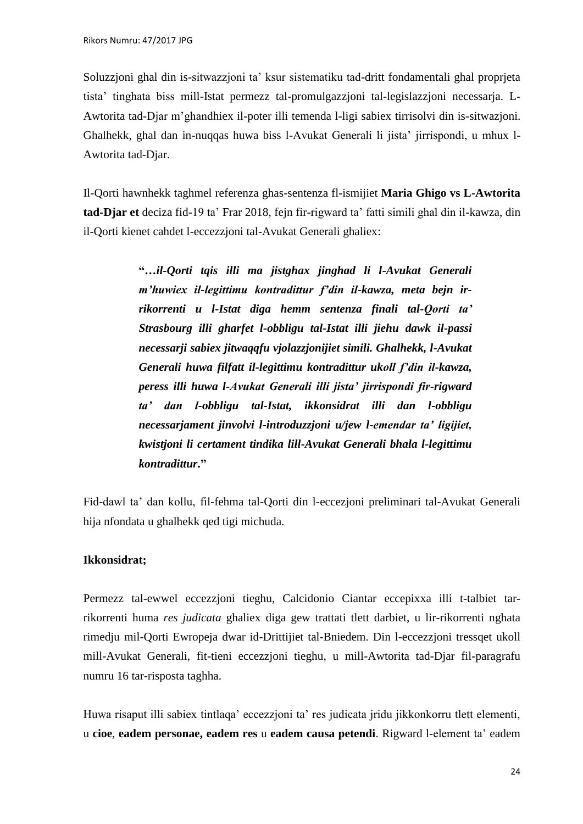Soluzzjoni ghal din is-sitwazzjoni ta' ksur sistematiku tad-dritt fondamentali ghal proprjeta tista' tinghata biss mill-Istat permezz tal-promulgazzjoni tal-legislazzjoni necessarja. L-Awtorita tad-Djar m'ghandhiex il-poter illi temenda l-ligi sabiex tirrisolvi din is-sitwazjoni. Ghalhekk, ghal dan in-nuqqas huwa biss l-Avukat Generali li jista' jirrispondi, u mhux l-Awtorita tad-Djar.

Il-Qorti hawnhekk taghmel referenza ghas-sentenza fl-ismijiet **Maria Ghigo vs L-Awtorita tad-Djar et** deciza fid-19 ta' Frar 2018, fejn fir-rigward ta' fatti simili ghal din il-kawza, din il-Qorti kienet cahdet l-eccezzjoni tal-Avukat Generali ghaliex:

> **"…***il-Qorti tqis illi ma jistghax jinghad li l-Avukat Generali m'huwiex il-legittimu kontradittur f'din il-kawza, meta bejn irrikorrenti u l-Istat diga hemm sentenza finali tal-Qorti ta' Strasbourg illi gharfet l-obbligu tal-Istat illi jiehu dawk il-passi necessarji sabiex jitwaqqfu vjolazzjonijiet simili. Ghalhekk, l-Avukat Generali huwa filfatt il-legittimu kontradittur ukoll f'din il-kawza, peress illi huwa l-Avukat Generali illi jista' jirrispondi fir-rigward ta' dan l-obbligu tal-Istat, ikkonsidrat illi dan l-obbligu necessarjament jinvolvi l-introduzzjoni u/jew l-emendar ta' ligijiet, kwistjoni li certament tindika lill-Avukat Generali bhala l-legittimu kontradittur***."**

Fid-dawl ta' dan kollu, fil-fehma tal-Qorti din l-eccezjoni preliminari tal-Avukat Generali hija nfondata u ghalhekk qed tigi michuda.

# **Ikkonsidrat;**

Permezz tal-ewwel eccezzjoni tieghu, Calcidonio Ciantar eccepixxa illi t-talbiet tarrikorrenti huma *res judicata* ghaliex diga gew trattati tlett darbiet, u lir-rikorrenti nghata rimedju mil-Qorti Ewropeja dwar id-Drittijiet tal-Bniedem. Din l-eccezzjoni tressqet ukoll mill-Avukat Generali, fit-tieni eccezzjoni tieghu, u mill-Awtorita tad-Djar fil-paragrafu numru 16 tar-risposta taghha.

Huwa risaput illi sabiex tintlaqa' eccezzjoni ta' res judicata jridu jikkonkorru tlett elementi, u **cioe**, **eadem personae, eadem res** u **eadem causa petendi**. Rigward l-element ta' eadem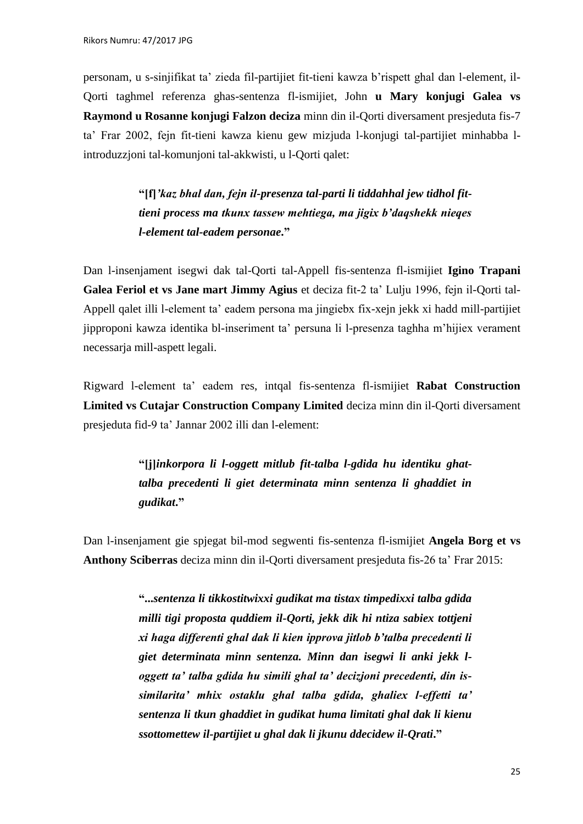personam, u s-sinjifikat ta' zieda fil-partijiet fit-tieni kawza b'rispett ghal dan l-element, il-Qorti taghmel referenza ghas-sentenza fl-ismijiet, John **u Mary konjugi Galea vs Raymond u Rosanne konjugi Falzon deciza** minn din il-Qorti diversament presjeduta fis-7 ta' Frar 2002, fejn fit-tieni kawza kienu gew mizjuda l-konjugi tal-partijiet minhabba lintroduzzjoni tal-komunjoni tal-akkwisti, u l-Qorti qalet:

> **"[f]***'kaz bhal dan, fejn il-presenza tal-parti li tiddahhal jew tidhol fittieni process ma tkunx tassew mehtiega, ma jigix b'daqshekk nieqes l-element tal-eadem personae***."**

Dan l-insenjament isegwi dak tal-Qorti tal-Appell fis-sentenza fl-ismijiet **Igino Trapani Galea Feriol et vs Jane mart Jimmy Agius** et deciza fit-2 ta' Lulju 1996, fejn il-Qorti tal-Appell qalet illi l-element ta' eadem persona ma jingiebx fix-xejn jekk xi hadd mill-partijiet jipproponi kawza identika bl-inseriment ta' persuna li l-presenza taghha m'hijiex verament necessarja mill-aspett legali.

Rigward l-element ta' eadem res, intqal fis-sentenza fl-ismijiet **Rabat Construction Limited vs Cutajar Construction Company Limited** deciza minn din il-Qorti diversament presjeduta fid-9 ta' Jannar 2002 illi dan l-element:

> **"[j]***inkorpora li l-oggett mitlub fit-talba l-gdida hu identiku ghattalba precedenti li giet determinata minn sentenza li ghaddiet in gudikat***."**

Dan l-insenjament gie spjegat bil-mod segwenti fis-sentenza fl-ismijiet **Angela Borg et vs Anthony Sciberras** deciza minn din il-Qorti diversament presjeduta fis-26 ta' Frar 2015:

> **"...***sentenza li tikkostitwixxi gudikat ma tistax timpedixxi talba gdida milli tigi proposta quddiem il-Qorti, jekk dik hi ntiza sabiex tottjeni xi haga differenti ghal dak li kien ipprova jitlob b'talba precedenti li giet determinata minn sentenza. Minn dan isegwi li anki jekk loggett ta' talba gdida hu simili ghal ta' decizjoni precedenti, din issimilarita' mhix ostaklu ghal talba gdida, ghaliex l-effetti ta' sentenza li tkun ghaddiet in gudikat huma limitati ghal dak li kienu ssottomettew il-partijiet u ghal dak li jkunu ddecidew il-Qrati***."**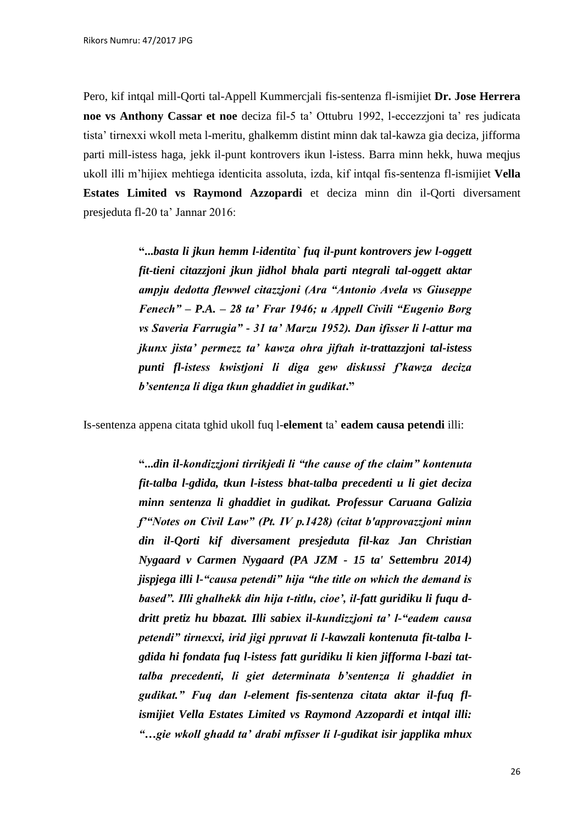Pero, kif intqal mill-Qorti tal-Appell Kummercjali fis-sentenza fl-ismijiet **Dr. Jose Herrera noe vs Anthony Cassar et noe** deciza fil-5 ta' Ottubru 1992, l-eccezzjoni ta' res judicata tista' tirnexxi wkoll meta l-meritu, ghalkemm distint minn dak tal-kawza gia deciza, jifforma parti mill-istess haga, jekk il-punt kontrovers ikun l-istess. Barra minn hekk, huwa meqjus ukoll illi m'hijiex mehtiega identicita assoluta, izda, kif intqal fis-sentenza fl-ismijiet **Vella Estates Limited vs Raymond Azzopardi** et deciza minn din il-Qorti diversament presjeduta fl-20 ta' Jannar 2016:

> **"...***basta li jkun hemm l-identita` fuq il-punt kontrovers jew l-oggett fit-tieni citazzjoni jkun jidhol bhala parti ntegrali tal-oggett aktar ampju dedotta flewwel citazzjoni (Ara "Antonio Avela vs Giuseppe Fenech" – P.A. – 28 ta' Frar 1946; u Appell Civili "Eugenio Borg vs Saveria Farrugia" - 31 ta' Marzu 1952). Dan ifisser li l-attur ma jkunx jista' permezz ta' kawza ohra jiftah it-trattazzjoni tal-istess punti fl-istess kwistjoni li diga gew diskussi f'kawza deciza b'sentenza li diga tkun ghaddiet in gudikat***."**

Is-sentenza appena citata tghid ukoll fuq l-**element** ta' **eadem causa petendi** illi:

**"...***din il-kondizzjoni tirrikjedi li "the cause of the claim" kontenuta fit-talba l-gdida, tkun l-istess bhat-talba precedenti u li giet deciza minn sentenza li ghaddiet in gudikat. Professur Caruana Galizia f'"Notes on Civil Law" (Pt. IV p.1428) (citat b'approvazzjoni minn din il-Qorti kif diversament presjeduta fil-kaz Jan Christian Nygaard v Carmen Nygaard (PA JZM - 15 ta' Settembru 2014) jispjega illi l-"causa petendi" hija "the title on which the demand is based". Illi ghalhekk din hija t-titlu, cioe', il-fatt guridiku li fuqu ddritt pretiz hu bbazat. Illi sabiex il-kundizzjoni ta' l-"eadem causa petendi" tirnexxi, irid jigi ppruvat li l-kawzali kontenuta fit-talba lgdida hi fondata fuq l-istess fatt guridiku li kien jifforma l-bazi tattalba precedenti, li giet determinata b'sentenza li ghaddiet in gudikat." Fuq dan l-element fis-sentenza citata aktar il-fuq flismijiet Vella Estates Limited vs Raymond Azzopardi et intqal illi: "…gie wkoll ghadd ta' drabi mfisser li l-gudikat isir japplika mhux*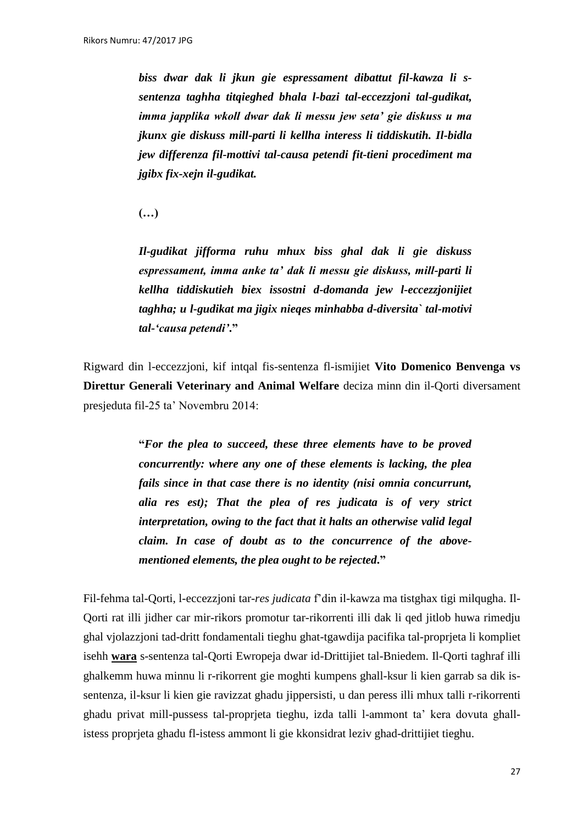*biss dwar dak li jkun gie espressament dibattut fil-kawza li ssentenza taghha titqieghed bhala l-bazi tal-eccezzjoni tal-gudikat, imma japplika wkoll dwar dak li messu jew seta' gie diskuss u ma jkunx gie diskuss mill-parti li kellha interess li tiddiskutih. Il-bidla jew differenza fil-mottivi tal-causa petendi fit-tieni procediment ma jgibx fix-xejn il-gudikat.*

**(…)**

*Il-gudikat jifforma ruhu mhux biss ghal dak li gie diskuss espressament, imma anke ta' dak li messu gie diskuss, mill-parti li kellha tiddiskutieh biex issostni d-domanda jew l-eccezzjonijiet taghha; u l-gudikat ma jigix nieqes minhabba d-diversita` tal-motivi tal-'causa petendi'***."** 

Rigward din l-eccezzjoni, kif intqal fis-sentenza fl-ismijiet **Vito Domenico Benvenga vs Direttur Generali Veterinary and Animal Welfare** deciza minn din il-Qorti diversament presjeduta fil-25 ta' Novembru 2014:

> **"***For the plea to succeed, these three elements have to be proved concurrently: where any one of these elements is lacking, the plea fails since in that case there is no identity (nisi omnia concurrunt, alia res est); That the plea of res judicata is of very strict interpretation, owing to the fact that it halts an otherwise valid legal claim. In case of doubt as to the concurrence of the abovementioned elements, the plea ought to be rejected***."**

Fil-fehma tal-Qorti, l-eccezzjoni tar-*res judicata* f'din il-kawza ma tistghax tigi milqugha. Il-Qorti rat illi jidher car mir-rikors promotur tar-rikorrenti illi dak li qed jitlob huwa rimedju ghal vjolazzjoni tad-dritt fondamentali tieghu ghat-tgawdija pacifika tal-proprjeta li kompliet isehh **wara** s-sentenza tal-Qorti Ewropeja dwar id-Drittijiet tal-Bniedem. Il-Qorti taghraf illi ghalkemm huwa minnu li r-rikorrent gie moghti kumpens ghall-ksur li kien garrab sa dik issentenza, il-ksur li kien gie ravizzat ghadu jippersisti, u dan peress illi mhux talli r-rikorrenti ghadu privat mill-pussess tal-proprjeta tieghu, izda talli l-ammont ta' kera dovuta ghallistess proprjeta ghadu fl-istess ammont li gie kkonsidrat leziv ghad-drittijiet tieghu.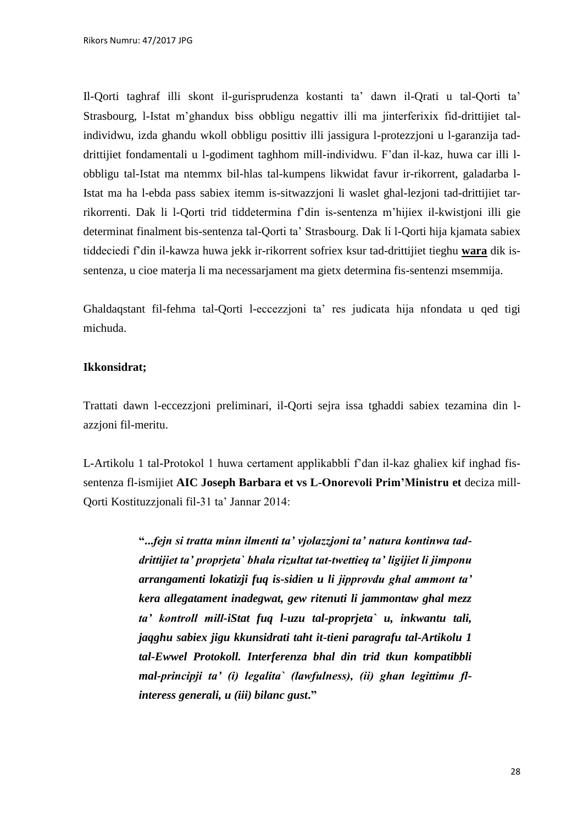Il-Qorti taghraf illi skont il-gurisprudenza kostanti ta' dawn il-Qrati u tal-Qorti ta' Strasbourg, l-Istat m'ghandux biss obbligu negattiv illi ma jinterferixix fid-drittijiet talindividwu, izda ghandu wkoll obbligu posittiv illi jassigura l-protezzjoni u l-garanzija taddrittijiet fondamentali u l-godiment taghhom mill-individwu. F'dan il-kaz, huwa car illi lobbligu tal-Istat ma ntemmx bil-hlas tal-kumpens likwidat favur ir-rikorrent, galadarba l-Istat ma ha l-ebda pass sabiex itemm is-sitwazzjoni li waslet ghal-lezjoni tad-drittijiet tarrikorrenti. Dak li l-Qorti trid tiddetermina f'din is-sentenza m'hijiex il-kwistjoni illi gie determinat finalment bis-sentenza tal-Qorti ta' Strasbourg. Dak li l-Qorti hija kjamata sabiex tiddeciedi f'din il-kawza huwa jekk ir-rikorrent sofriex ksur tad-drittijiet tieghu **wara** dik issentenza, u cioe materja li ma necessarjament ma gietx determina fis-sentenzi msemmija.

Ghaldaqstant fil-fehma tal-Qorti l-eccezzjoni ta' res judicata hija nfondata u qed tigi michuda.

#### **Ikkonsidrat;**

Trattati dawn l-eccezzjoni preliminari, il-Qorti sejra issa tghaddi sabiex tezamina din lazzjoni fil-meritu.

L-Artikolu 1 tal-Protokol 1 huwa certament applikabbli f'dan il-kaz ghaliex kif inghad fissentenza fl-ismijiet **AIC Joseph Barbara et vs L-Onorevoli Prim'Ministru et** deciza mill-Qorti Kostituzzjonali fil-31 ta' Jannar 2014:

> **"...***fejn si tratta minn ilmenti ta' vjolazzjoni ta' natura kontinwa taddrittijiet ta' proprjeta` bhala rizultat tat-twettieq ta' ligijiet li jimponu arrangamenti lokatizji fuq is-sidien u li jipprovdu ghal ammont ta' kera allegatament inadegwat, gew ritenuti li jammontaw ghal mezz ta' kontroll mill-iStat fuq l-uzu tal-proprjeta` u, inkwantu tali, jaqghu sabiex jigu kkunsidrati taht it-tieni paragrafu tal-Artikolu 1 tal-Ewwel Protokoll. Interferenza bhal din trid tkun kompatibbli mal-principji ta' (i) legalita` (lawfulness), (ii) ghan legittimu flinteress generali, u (iii) bilanc gust***."**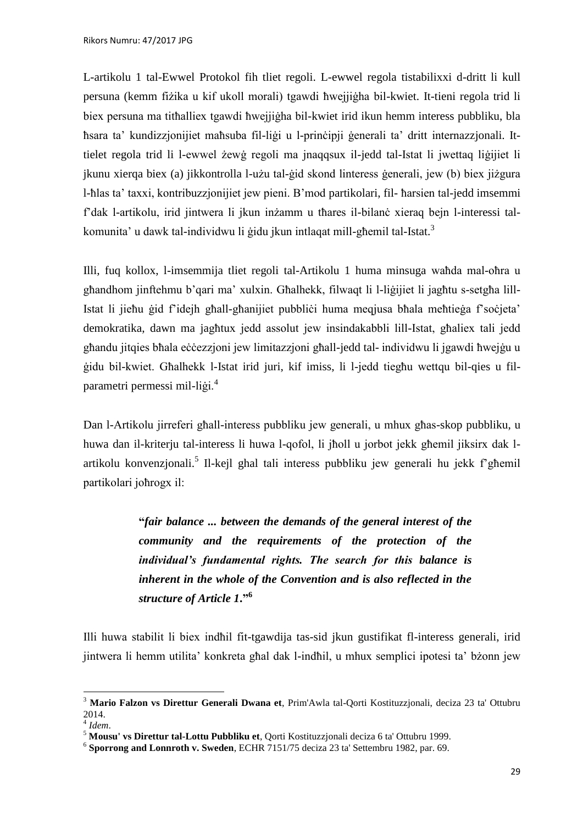L-artikolu 1 tal-Ewwel Protokol fih tliet regoli. L-ewwel regola tistabilixxi d-dritt li kull persuna (kemm fiżika u kif ukoll morali) tgawdi ħwejjiġha bil-kwiet. It-tieni regola trid li biex persuna ma titħalliex tgawdi ħwejjiġha bil-kwiet irid ikun hemm interess pubbliku, bla ħsara ta' kundizzjonijiet maħsuba fil-liġi u l-prinċipji ġenerali ta' dritt internazzjonali. Ittielet regola trid li l-ewwel żewġ regoli ma jnaqqsux il-jedd tal-Istat li jwettaq liġijiet li jkunu xierqa biex (a) jikkontrolla l-użu tal-ġid skond linteress ġenerali, jew (b) biex jiżgura l-ħlas ta' taxxi, kontribuzzjonijiet jew pieni. B'mod partikolari, fil- ħarsien tal-jedd imsemmi f'dak l-artikolu, irid jintwera li jkun inżamm u tħares il-bilanċ xieraq bejn l-interessi talkomunita' u dawk tal-individwu li ġidu jkun intlaqat mill-għemil tal-Istat.<sup>3</sup>

Illi, fuq kollox, l-imsemmija tliet regoli tal-Artikolu 1 huma minsuga waħda mal-oħra u għandhom jinftehmu b'qari ma' xulxin. Għalhekk, filwaqt li l-liġijiet li jagħtu s-setgħa lill-Istat li jieħu ģid f'idejh għall-għanijiet pubbliċi huma meqjusa bħala meħtieġa f'soċjeta' demokratika, dawn ma jagħtux jedd assolut jew insindakabbli lill-Istat, għaliex tali jedd għandu jitqies bħala eċċezzjoni jew limitazzjoni għall-jedd tal- individwu li jgawdi ħwejġu u ġidu bil-kwiet. Għalhekk l-Istat irid juri, kif imiss, li l-jedd tiegħu wettqu bil-qies u filparametri permessi mil-liġi.<sup>4</sup>

Dan l-Artikolu jirreferi għall-interess pubbliku jew generali, u mhux għas-skop pubbliku, u huwa dan il-kriterju tal-interess li huwa l-qofol, li jħoll u jorbot jekk għemil jiksirx dak lartikolu konvenzjonali.<sup>5</sup> Il-kejl ghal tali interess pubbliku jew generali hu jekk f'ghemil partikolari joħrogx il:

> **"***fair balance ... between the demands of the general interest of the community and the requirements of the protection of the individual's fundamental rights. The search for this balance is inherent in the whole of the Convention and is also reflected in the structure of Article 1***."<sup>6</sup>**

Illi huwa stabilit li biex indħil fit-tgawdija tas-sid jkun gustifikat fl-interess generali, irid jintwera li hemm utilita' konkreta għal dak l-indħil, u mhux semplici ipotesi ta' bżonn jew

**.** 

<sup>3</sup> **Mario Falzon vs Direttur Generali Dwana et**, Prim'Awla tal-Qorti Kostituzzjonali, deciza 23 ta' Ottubru 2014.

<sup>4</sup> *Idem*.

<sup>5</sup> **Mousu' vs Direttur tal-Lottu Pubbliku et**, Qorti Kostituzzjonali deciza 6 ta' Ottubru 1999.

<sup>6</sup> **Sporrong and Lonnroth v. Sweden**, ECHR 7151/75 deciza 23 ta' Settembru 1982, par. 69.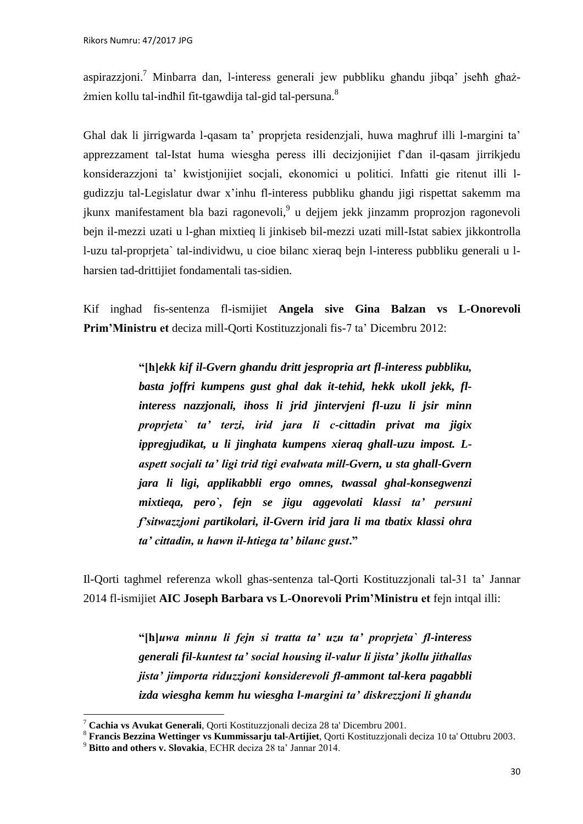aspirazzjoni.<sup>7</sup> Minbarra dan, l-interess generali jew pubbliku għandu jibqa' jseħħ għażżmien kollu tal-indħil fit-tgawdija tal-gid tal-persuna.<sup>8</sup>

Ghal dak li jirrigwarda l-qasam ta' proprjeta residenzjali, huwa maghruf illi l-margini ta' apprezzament tal-Istat huma wiesgha peress illi decizjonijiet f'dan il-qasam jirrikjedu konsiderazzjoni ta' kwistjonijiet socjali, ekonomici u politici. Infatti gie ritenut illi lgudizzju tal-Legislatur dwar x'inhu fl-interess pubbliku ghandu jigi rispettat sakemm ma jkunx manifestament bla bazi ragonevoli,<sup>9</sup> u dejjem jekk jinzamm proprozjon ragonevoli bejn il-mezzi uzati u l-ghan mixtieq li jinkiseb bil-mezzi uzati mill-Istat sabiex jikkontrolla l-uzu tal-proprjeta` tal-individwu, u cioe bilanc xieraq bejn l-interess pubbliku generali u lharsien tad-drittijiet fondamentali tas-sidien.

Kif inghad fis-sentenza fl-ismijiet **Angela sive Gina Balzan vs L-Onorevoli Prim'Ministru et** deciza mill-Qorti Kostituzzjonali fis-7 ta' Dicembru 2012:

> **"[h]***ekk kif il-Gvern ghandu dritt jespropria art fl-interess pubbliku, basta joffri kumpens gust ghal dak it-tehid, hekk ukoll jekk, flinteress nazzjonali, ihoss li jrid jintervjeni fl-uzu li jsir minn proprjeta` ta' terzi, irid jara li c-cittadin privat ma jigix ippregjudikat, u li jinghata kumpens xieraq ghall-uzu impost. Laspett socjali ta' ligi trid tigi evalwata mill-Gvern, u sta ghall-Gvern jara li ligi, applikabbli ergo omnes, twassal ghal-konsegwenzi mixtieqa, pero`, fejn se jigu aggevolati klassi ta' persuni f'sitwazzjoni partikolari, il-Gvern irid jara li ma tbatix klassi ohra ta' cittadin, u hawn il-htiega ta' bilanc gust***."**

Il-Qorti taghmel referenza wkoll ghas-sentenza tal-Qorti Kostituzzjonali tal-31 ta' Jannar 2014 fl-ismijiet **AIC Joseph Barbara vs L-Onorevoli Prim'Ministru et** fejn intqal illi:

> **"[h]***uwa minnu li fejn si tratta ta' uzu ta' proprjeta` fl-interess generali fil-kuntest ta' social housing il-valur li jista' jkollu jithallas jista' jimporta riduzzjoni konsiderevoli fl-ammont tal-kera pagabbli izda wiesgha kemm hu wiesgha l-margini ta' diskrezzjoni li ghandu*

1

<sup>7</sup> **Cachia vs Avukat Generali**, Qorti Kostituzzjonali deciza 28 ta' Dicembru 2001.

<sup>8</sup> **Francis Bezzina Wettinger vs Kummissarju tal-Artijiet**, Qorti Kostituzzjonali deciza 10 ta' Ottubru 2003.

<sup>9</sup> **Bitto and others v. Slovakia**, ECHR deciza 28 ta' Jannar 2014.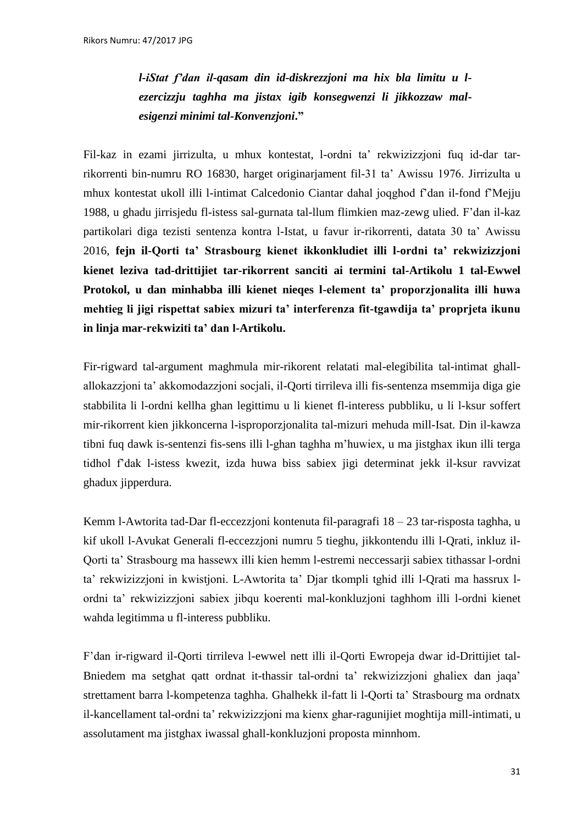*l-iStat f'dan il-qasam din id-diskrezzjoni ma hix bla limitu u lezercizzju taghha ma jistax igib konsegwenzi li jikkozzaw malesigenzi minimi tal-Konvenzjoni***."** 

Fil-kaz in ezami jirrizulta, u mhux kontestat, l-ordni ta' rekwizizzjoni fuq id-dar tarrikorrenti bin-numru RO 16830, harget originarjament fil-31 ta' Awissu 1976. Jirrizulta u mhux kontestat ukoll illi l-intimat Calcedonio Ciantar dahal joqghod f'dan il-fond f'Mejju 1988, u ghadu jirrisjedu fl-istess sal-gurnata tal-llum flimkien maz-zewg ulied. F'dan il-kaz partikolari diga tezisti sentenza kontra l-Istat, u favur ir-rikorrenti, datata 30 ta' Awissu 2016, **fejn il-Qorti ta' Strasbourg kienet ikkonkludiet illi l-ordni ta' rekwizizzjoni kienet leziva tad-drittijiet tar-rikorrent sanciti ai termini tal-Artikolu 1 tal-Ewwel Protokol, u dan minhabba illi kienet nieqes l-element ta' proporzjonalita illi huwa mehtieg li jigi rispettat sabiex mizuri ta' interferenza fit-tgawdija ta' proprjeta ikunu in linja mar-rekwiziti ta' dan l-Artikolu.**

Fir-rigward tal-argument maghmula mir-rikorent relatati mal-elegibilita tal-intimat ghallallokazzjoni ta' akkomodazzjoni socjali, il-Qorti tirrileva illi fis-sentenza msemmija diga gie stabbilita li l-ordni kellha ghan legittimu u li kienet fl-interess pubbliku, u li l-ksur soffert mir-rikorrent kien jikkoncerna l-isproporzjonalita tal-mizuri mehuda mill-Isat. Din il-kawza tibni fuq dawk is-sentenzi fis-sens illi l-ghan taghha m'huwiex, u ma jistghax ikun illi terga tidhol f'dak l-istess kwezit, izda huwa biss sabiex jigi determinat jekk il-ksur ravvizat ghadux jipperdura.

Kemm l-Awtorita tad-Dar fl-eccezzjoni kontenuta fil-paragrafi 18 – 23 tar-risposta taghha, u kif ukoll l-Avukat Generali fl-eccezzjoni numru 5 tieghu, jikkontendu illi l-Qrati, inkluz il-Qorti ta' Strasbourg ma hassewx illi kien hemm l-estremi neccessarji sabiex tithassar l-ordni ta' rekwizizzjoni in kwistjoni. L-Awtorita ta' Djar tkompli tghid illi l-Qrati ma hassrux lordni ta' rekwizizzjoni sabiex jibqu koerenti mal-konkluzjoni taghhom illi l-ordni kienet wahda legitimma u fl-interess pubbliku.

F'dan ir-rigward il-Qorti tirrileva l-ewwel nett illi il-Qorti Ewropeja dwar id-Drittijiet tal-Bniedem ma setghat qatt ordnat it-thassir tal-ordni ta' rekwizizzjoni ghaliex dan jaqa' strettament barra l-kompetenza taghha. Ghalhekk il-fatt li l-Qorti ta' Strasbourg ma ordnatx il-kancellament tal-ordni ta' rekwizizzjoni ma kienx ghar-ragunijiet moghtija mill-intimati, u assolutament ma jistghax iwassal ghall-konkluzjoni proposta minnhom.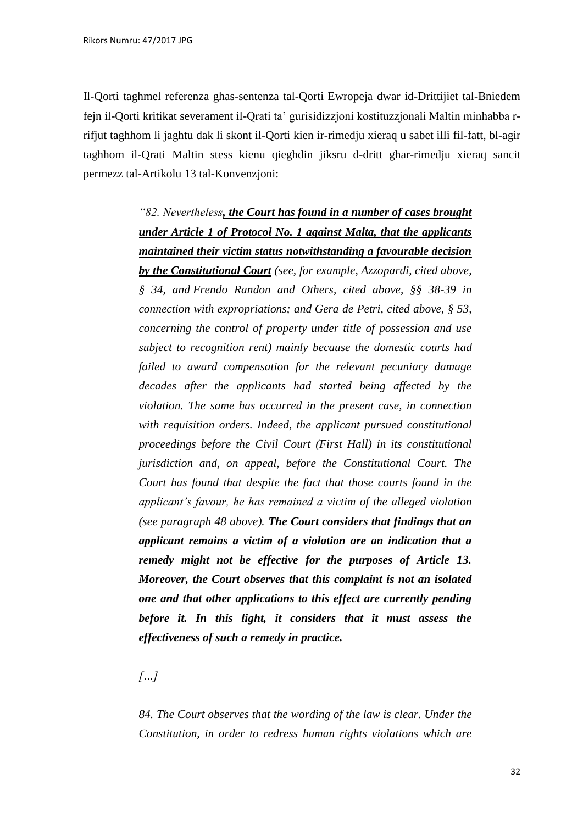Il-Qorti taghmel referenza ghas-sentenza tal-Qorti Ewropeja dwar id-Drittijiet tal-Bniedem fejn il-Qorti kritikat severament il-Qrati ta' gurisidizzjoni kostituzzjonali Maltin minhabba rrifjut taghhom li jaghtu dak li skont il-Qorti kien ir-rimedju xieraq u sabet illi fil-fatt, bl-agir taghhom il-Qrati Maltin stess kienu qieghdin jiksru d-dritt ghar-rimedju xieraq sancit permezz tal-Artikolu 13 tal-Konvenzjoni:

> *"82. Nevertheless, the Court has found in a number of cases brought under Article 1 of Protocol No. 1 against Malta, that the applicants maintained their victim status notwithstanding a favourable decision by the Constitutional Court (see, for example, Azzopardi, cited above, § 34, and Frendo Randon and Others, cited above, §§ 38-39 in connection with expropriations; and Gera de Petri, cited above, § 53, concerning the control of property under title of possession and use subject to recognition rent) mainly because the domestic courts had failed to award compensation for the relevant pecuniary damage decades after the applicants had started being affected by the violation. The same has occurred in the present case, in connection with requisition orders. Indeed, the applicant pursued constitutional proceedings before the Civil Court (First Hall) in its constitutional jurisdiction and, on appeal, before the Constitutional Court. The Court has found that despite the fact that those courts found in the applicant's favour, he has remained a victim of the alleged violation (see paragraph 48 above). The Court considers that findings that an applicant remains a victim of a violation are an indication that a remedy might not be effective for the purposes of Article 13. Moreover, the Court observes that this complaint is not an isolated one and that other applications to this effect are currently pending before it. In this light, it considers that it must assess the effectiveness of such a remedy in practice.*

*[…]*

*84. The Court observes that the wording of the law is clear. Under the Constitution, in order to redress human rights violations which are*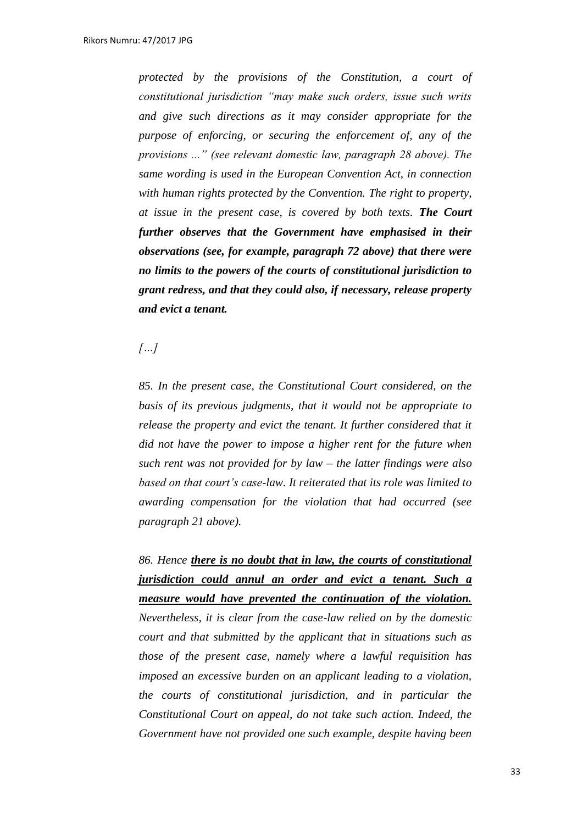*protected by the provisions of the Constitution, a court of constitutional jurisdiction "may make such orders, issue such writs and give such directions as it may consider appropriate for the purpose of enforcing, or securing the enforcement of, any of the provisions ..." (see relevant domestic law, paragraph 28 above). The same wording is used in the European Convention Act, in connection with human rights protected by the Convention. The right to property, at issue in the present case, is covered by both texts. The Court further observes that the Government have emphasised in their observations (see, for example, paragraph 72 above) that there were no limits to the powers of the courts of constitutional jurisdiction to grant redress, and that they could also, if necessary, release property and evict a tenant.*

# *[…]*

*85. In the present case, the Constitutional Court considered, on the basis of its previous judgments, that it would not be appropriate to release the property and evict the tenant. It further considered that it did not have the power to impose a higher rent for the future when such rent was not provided for by law – the latter findings were also based on that court's case-law. It reiterated that its role was limited to awarding compensation for the violation that had occurred (see paragraph 21 above).*

*86. Hence there is no doubt that in law, the courts of constitutional jurisdiction could annul an order and evict a tenant. Such a measure would have prevented the continuation of the violation. Nevertheless, it is clear from the case-law relied on by the domestic court and that submitted by the applicant that in situations such as those of the present case, namely where a lawful requisition has imposed an excessive burden on an applicant leading to a violation, the courts of constitutional jurisdiction, and in particular the Constitutional Court on appeal, do not take such action. Indeed, the Government have not provided one such example, despite having been*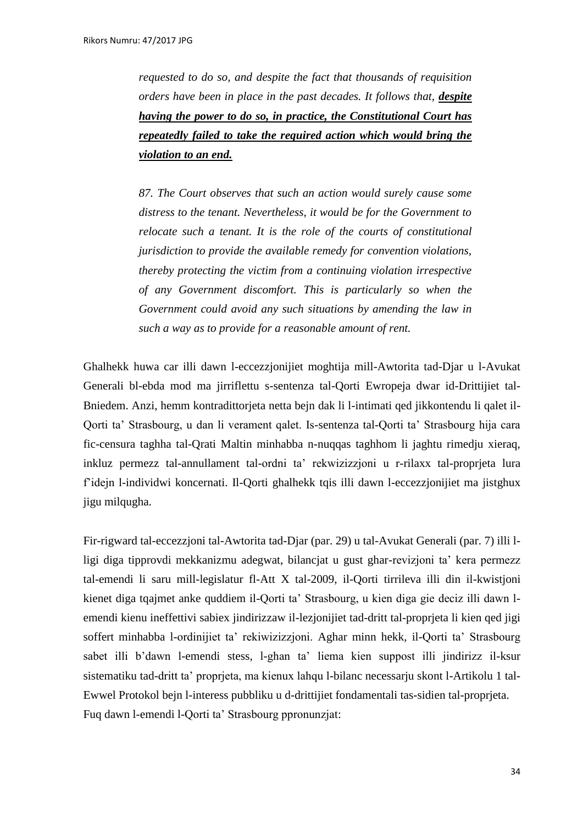*requested to do so, and despite the fact that thousands of requisition orders have been in place in the past decades. It follows that, despite having the power to do so, in practice, the Constitutional Court has repeatedly failed to take the required action which would bring the violation to an end.*

*87. The Court observes that such an action would surely cause some distress to the tenant. Nevertheless, it would be for the Government to relocate such a tenant. It is the role of the courts of constitutional jurisdiction to provide the available remedy for convention violations, thereby protecting the victim from a continuing violation irrespective of any Government discomfort. This is particularly so when the Government could avoid any such situations by amending the law in such a way as to provide for a reasonable amount of rent.*

Ghalhekk huwa car illi dawn l-eccezzjonijiet moghtija mill-Awtorita tad-Djar u l-Avukat Generali bl-ebda mod ma jirriflettu s-sentenza tal-Qorti Ewropeja dwar id-Drittijiet tal-Bniedem. Anzi, hemm kontradittorjeta netta bejn dak li l-intimati qed jikkontendu li qalet il-Qorti ta' Strasbourg, u dan li verament qalet. Is-sentenza tal-Qorti ta' Strasbourg hija cara fic-censura taghha tal-Qrati Maltin minhabba n-nuqqas taghhom li jaghtu rimedju xieraq, inkluz permezz tal-annullament tal-ordni ta' rekwizizzjoni u r-rilaxx tal-proprjeta lura f'idejn l-individwi koncernati. Il-Qorti ghalhekk tqis illi dawn l-eccezzjonijiet ma jistghux jigu milqugha.

Fir-rigward tal-eccezzjoni tal-Awtorita tad-Djar (par. 29) u tal-Avukat Generali (par. 7) illi lligi diga tipprovdi mekkanizmu adegwat, bilancjat u gust ghar-revizjoni ta' kera permezz tal-emendi li saru mill-legislatur fl-Att X tal-2009, il-Qorti tirrileva illi din il-kwistjoni kienet diga tqajmet anke quddiem il-Qorti ta' Strasbourg, u kien diga gie deciz illi dawn lemendi kienu ineffettivi sabiex jindirizzaw il-lezjonijiet tad-dritt tal-proprjeta li kien qed jigi soffert minhabba l-ordinijiet ta' rekiwizizzjoni. Aghar minn hekk, il-Qorti ta' Strasbourg sabet illi b'dawn l-emendi stess, l-ghan ta' liema kien suppost illi jindirizz il-ksur sistematiku tad-dritt ta' proprjeta, ma kienux lahqu l-bilanc necessarju skont l-Artikolu 1 tal-Ewwel Protokol bejn l-interess pubbliku u d-drittijiet fondamentali tas-sidien tal-proprjeta. Fuq dawn l-emendi l-Qorti ta' Strasbourg ppronunzjat: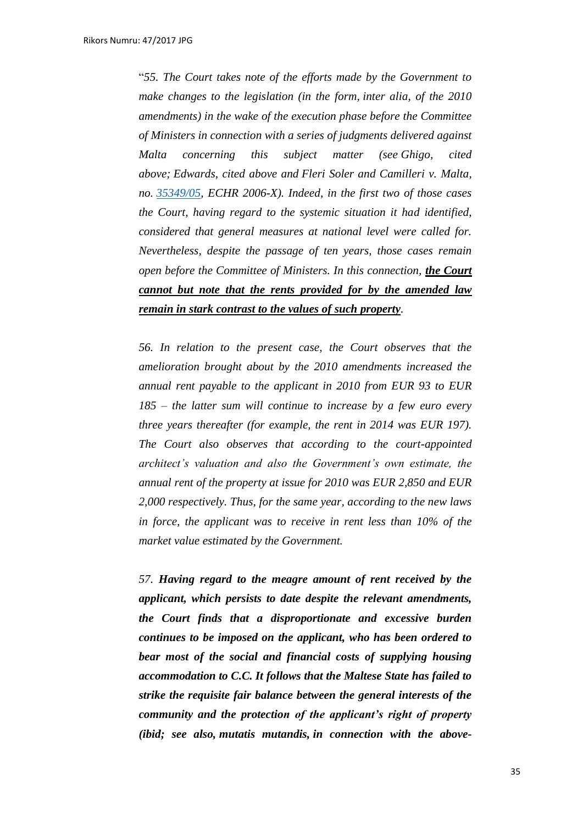"*55. The Court takes note of the efforts made by the Government to make changes to the legislation (in the form, inter alia, of the 2010 amendments) in the wake of the execution phase before the Committee of Ministers in connection with a series of judgments delivered against Malta concerning this subject matter (see Ghigo, cited above; Edwards, cited above and Fleri Soler and Camilleri v. Malta, no. [35349/05,](https://hudoc.echr.coe.int/eng#{%22appno%22:[%2235349/05%22]}) ECHR 2006-X). Indeed, in the first two of those cases the Court, having regard to the systemic situation it had identified, considered that general measures at national level were called for. Nevertheless, despite the passage of ten years, those cases remain open before the Committee of Ministers. In this connection, the Court cannot but note that the rents provided for by the amended law remain in stark contrast to the values of such property.*

*56. In relation to the present case, the Court observes that the amelioration brought about by the 2010 amendments increased the annual rent payable to the applicant in 2010 from EUR 93 to EUR 185 – the latter sum will continue to increase by a few euro every three years thereafter (for example, the rent in 2014 was EUR 197). The Court also observes that according to the court-appointed architect's valuation and also the Government's own estimate, the annual rent of the property at issue for 2010 was EUR 2,850 and EUR 2,000 respectively. Thus, for the same year, according to the new laws in force, the applicant was to receive in rent less than 10% of the market value estimated by the Government.*

*57. Having regard to the meagre amount of rent received by the applicant, which persists to date despite the relevant amendments, the Court finds that a disproportionate and excessive burden continues to be imposed on the applicant, who has been ordered to bear most of the social and financial costs of supplying housing accommodation to C.C. It follows that the Maltese State has failed to strike the requisite fair balance between the general interests of the community and the protection of the applicant's right of property (ibid; see also, mutatis mutandis, in connection with the above-*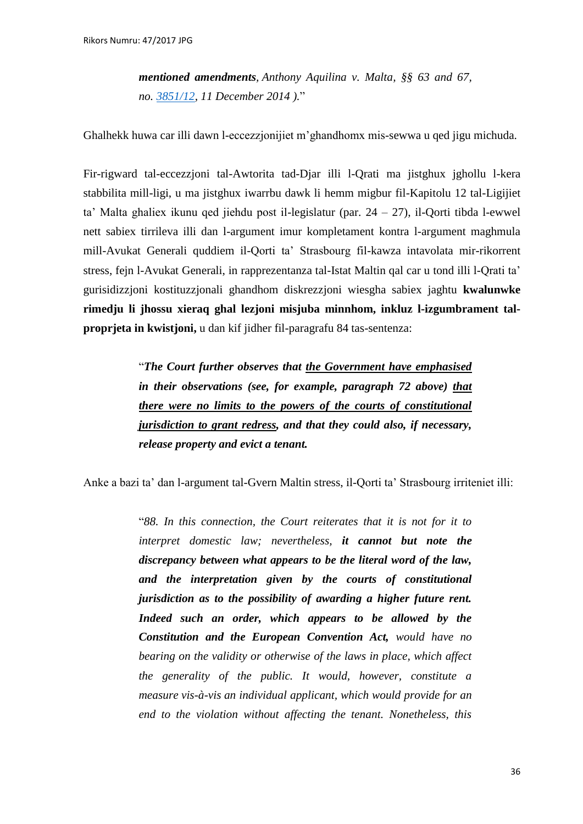*mentioned amendments, Anthony Aquilina v. Malta, §§ 63 and 67, no. [3851/12,](https://hudoc.echr.coe.int/eng#{%22appno%22:[%223851/12%22]}) 11 December 2014 ).*"

Ghalhekk huwa car illi dawn l-eccezzjonijiet m'ghandhomx mis-sewwa u qed jigu michuda.

Fir-rigward tal-eccezzjoni tal-Awtorita tad-Djar illi l-Qrati ma jistghux jghollu l-kera stabbilita mill-ligi, u ma jistghux iwarrbu dawk li hemm migbur fil-Kapitolu 12 tal-Ligijiet ta' Malta ghaliex ikunu qed jiehdu post il-legislatur (par. 24 – 27), il-Qorti tibda l-ewwel nett sabiex tirrileva illi dan l-argument imur kompletament kontra l-argument maghmula mill-Avukat Generali quddiem il-Qorti ta' Strasbourg fil-kawza intavolata mir-rikorrent stress, fejn l-Avukat Generali, in rapprezentanza tal-Istat Maltin qal car u tond illi l-Qrati ta' gurisidizzjoni kostituzzjonali ghandhom diskrezzjoni wiesgha sabiex jaghtu **kwalunwke rimedju li jhossu xieraq ghal lezjoni misjuba minnhom, inkluz l-izgumbrament talproprjeta in kwistjoni,** u dan kif jidher fil-paragrafu 84 tas-sentenza:

> "*The Court further observes that the Government have emphasised in their observations (see, for example, paragraph 72 above) that there were no limits to the powers of the courts of constitutional jurisdiction to grant redress, and that they could also, if necessary, release property and evict a tenant.*

Anke a bazi ta' dan l-argument tal-Gvern Maltin stress, il-Qorti ta' Strasbourg irriteniet illi:

"*88. In this connection, the Court reiterates that it is not for it to interpret domestic law; nevertheless, it cannot but note the discrepancy between what appears to be the literal word of the law, and the interpretation given by the courts of constitutional jurisdiction as to the possibility of awarding a higher future rent. Indeed such an order, which appears to be allowed by the Constitution and the European Convention Act, would have no bearing on the validity or otherwise of the laws in place, which affect the generality of the public. It would, however, constitute a measure vis-à-vis an individual applicant, which would provide for an end to the violation without affecting the tenant. Nonetheless, this*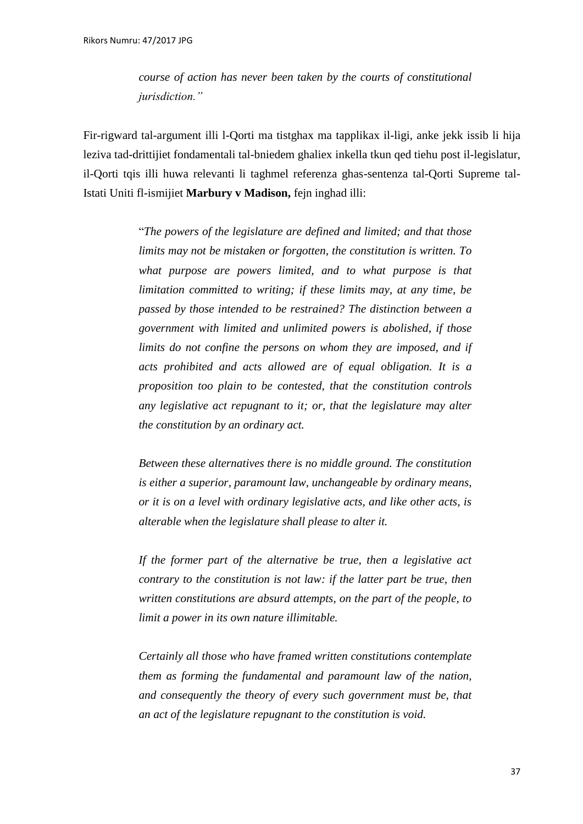*course of action has never been taken by the courts of constitutional jurisdiction."*

Fir-rigward tal-argument illi l-Qorti ma tistghax ma tapplikax il-ligi, anke jekk issib li hija leziva tad-drittijiet fondamentali tal-bniedem ghaliex inkella tkun qed tiehu post il-legislatur, il-Qorti tqis illi huwa relevanti li taghmel referenza ghas-sentenza tal-Qorti Supreme tal-Istati Uniti fl-ismijiet **Marbury v Madison,** fejn inghad illi:

> "*The powers of the legislature are defined and limited; and that those limits may not be mistaken or forgotten, the constitution is written. To what purpose are powers limited, and to what purpose is that limitation committed to writing; if these limits may, at any time, be passed by those intended to be restrained? The distinction between a government with limited and unlimited powers is abolished, if those limits do not confine the persons on whom they are imposed, and if acts prohibited and acts allowed are of equal obligation. It is a proposition too plain to be contested, that the constitution controls any legislative act repugnant to it; or, that the legislature may alter the constitution by an ordinary act.*

> *Between these alternatives there is no middle ground. The constitution is either a superior, paramount law, unchangeable by ordinary means, or it is on a level with ordinary legislative acts, and like other acts, is alterable when the legislature shall please to alter it.*

> *If the former part of the alternative be true, then a legislative act contrary to the constitution is not law: if the latter part be true, then written constitutions are absurd attempts, on the part of the people, to limit a power in its own nature illimitable.*

> *Certainly all those who have framed written constitutions contemplate them as forming the fundamental and paramount law of the nation, and consequently the theory of every such government must be, that an act of the legislature repugnant to the constitution is void.*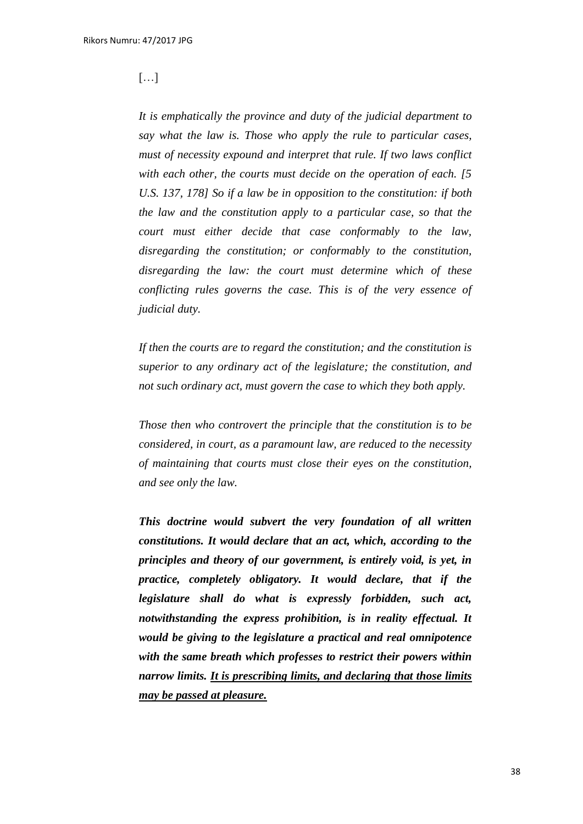# […]

*It is emphatically the province and duty of the judicial department to say what the law is. Those who apply the rule to particular cases, must of necessity expound and interpret that rule. If two laws conflict with each other, the courts must decide on the operation of each. [5 U.S. 137, 178] So if a law be in opposition to the constitution: if both the law and the constitution apply to a particular case, so that the court must either decide that case conformably to the law, disregarding the constitution; or conformably to the constitution, disregarding the law: the court must determine which of these conflicting rules governs the case. This is of the very essence of judicial duty.* 

*If then the courts are to regard the constitution; and the constitution is superior to any ordinary act of the legislature; the constitution, and not such ordinary act, must govern the case to which they both apply.* 

*Those then who controvert the principle that the constitution is to be considered, in court, as a paramount law, are reduced to the necessity of maintaining that courts must close their eyes on the constitution, and see only the law.* 

*This doctrine would subvert the very foundation of all written constitutions. It would declare that an act, which, according to the principles and theory of our government, is entirely void, is yet, in practice, completely obligatory. It would declare, that if the legislature shall do what is expressly forbidden, such act, notwithstanding the express prohibition, is in reality effectual. It would be giving to the legislature a practical and real omnipotence with the same breath which professes to restrict their powers within narrow limits. It is prescribing limits, and declaring that those limits may be passed at pleasure.*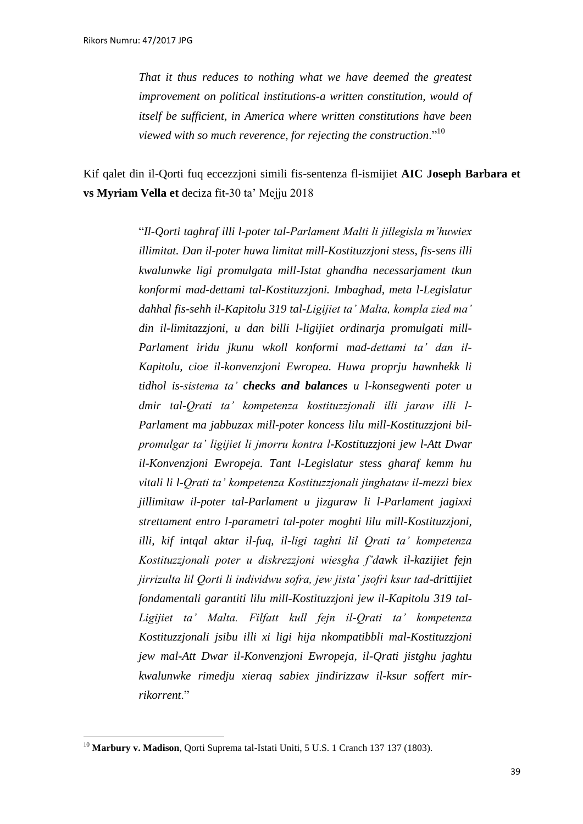*That it thus reduces to nothing what we have deemed the greatest improvement on political institutions-a written constitution, would of itself be sufficient, in America where written constitutions have been viewed with so much reverence, for rejecting the construction*."<sup>10</sup>

Kif qalet din il-Qorti fuq eccezzjoni simili fis-sentenza fl-ismijiet **AIC Joseph Barbara et vs Myriam Vella et** deciza fit-30 ta' Mejju 2018

> "*Il-Qorti taghraf illi l-poter tal-Parlament Malti li jillegisla m'huwiex illimitat. Dan il-poter huwa limitat mill-Kostituzzjoni stess, fis-sens illi kwalunwke ligi promulgata mill-Istat ghandha necessarjament tkun konformi mad-dettami tal-Kostituzzjoni. Imbaghad, meta l-Legislatur dahhal fis-sehh il-Kapitolu 319 tal-Ligijiet ta' Malta, kompla zied ma' din il-limitazzjoni, u dan billi l-ligijiet ordinarja promulgati mill-Parlament iridu jkunu wkoll konformi mad-dettami ta' dan il-Kapitolu, cioe il-konvenzjoni Ewropea. Huwa proprju hawnhekk li tidhol is-sistema ta' checks and balances u l-konsegwenti poter u dmir tal-Qrati ta' kompetenza kostituzzjonali illi jaraw illi l-Parlament ma jabbuzax mill-poter koncess lilu mill-Kostituzzjoni bilpromulgar ta' ligijiet li jmorru kontra l-Kostituzzjoni jew l-Att Dwar il-Konvenzjoni Ewropeja. Tant l-Legislatur stess gharaf kemm hu vitali li l-Qrati ta' kompetenza Kostituzzjonali jinghataw il-mezzi biex jillimitaw il-poter tal-Parlament u jizguraw li l-Parlament jagixxi strettament entro l-parametri tal-poter moghti lilu mill-Kostituzzjoni, illi, kif intqal aktar il-fuq, il-ligi taghti lil Qrati ta' kompetenza Kostituzzjonali poter u diskrezzjoni wiesgha f'dawk il-kazijiet fejn jirrizulta lil Qorti li individwu sofra, jew jista' jsofri ksur tad-drittijiet fondamentali garantiti lilu mill-Kostituzzjoni jew il-Kapitolu 319 tal-Ligijiet ta' Malta. Filfatt kull fejn il-Qrati ta' kompetenza Kostituzzjonali jsibu illi xi ligi hija nkompatibbli mal-Kostituzzjoni jew mal-Att Dwar il-Konvenzjoni Ewropeja, il-Qrati jistghu jaghtu kwalunwke rimedju xieraq sabiex jindirizzaw il-ksur soffert mirrikorrent*."

**.** 

<sup>&</sup>lt;sup>10</sup> Marbury v. Madison, Qorti Suprema tal-Istati Uniti, 5 U.S. 1 Cranch 137 137 (1803).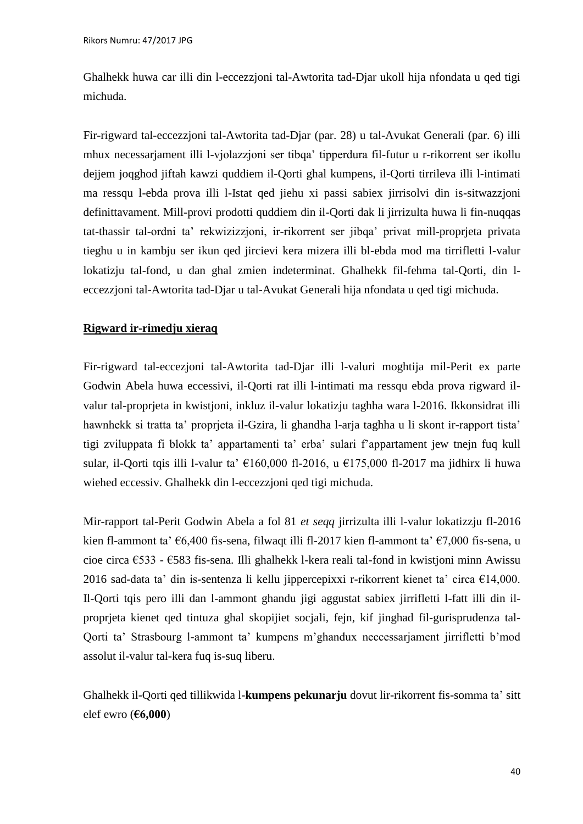Ghalhekk huwa car illi din l-eccezzjoni tal-Awtorita tad-Djar ukoll hija nfondata u qed tigi michuda.

Fir-rigward tal-eccezzjoni tal-Awtorita tad-Djar (par. 28) u tal-Avukat Generali (par. 6) illi mhux necessarjament illi l-vjolazzjoni ser tibqa' tipperdura fil-futur u r-rikorrent ser ikollu dejjem joqghod jiftah kawzi quddiem il-Qorti ghal kumpens, il-Qorti tirrileva illi l-intimati ma ressqu l-ebda prova illi l-Istat qed jiehu xi passi sabiex jirrisolvi din is-sitwazzjoni definittavament. Mill-provi prodotti quddiem din il-Qorti dak li jirrizulta huwa li fin-nuqqas tat-thassir tal-ordni ta' rekwizizzjoni, ir-rikorrent ser jibqa' privat mill-proprjeta privata tieghu u in kambju ser ikun qed jircievi kera mizera illi bl-ebda mod ma tirrifletti l-valur lokatizju tal-fond, u dan ghal zmien indeterminat. Ghalhekk fil-fehma tal-Qorti, din leccezzjoni tal-Awtorita tad-Djar u tal-Avukat Generali hija nfondata u qed tigi michuda.

# **Rigward ir-rimedju xieraq**

Fir-rigward tal-eccezjoni tal-Awtorita tad-Djar illi l-valuri moghtija mil-Perit ex parte Godwin Abela huwa eccessivi, il-Qorti rat illi l-intimati ma ressqu ebda prova rigward ilvalur tal-proprjeta in kwistjoni, inkluz il-valur lokatizju taghha wara l-2016. Ikkonsidrat illi hawnhekk si tratta ta' proprjeta il-Gzira, li ghandha l-arja taghha u li skont ir-rapport tista' tigi zviluppata fi blokk ta' appartamenti ta' erba' sulari f'appartament jew tnejn fuq kull sular, il-Qorti tqis illi l-valur ta'  $\epsilon$ 160,000 fl-2016, u  $\epsilon$ 175,000 fl-2017 ma jidhirx li huwa wiehed eccessiv. Ghalhekk din l-eccezzjoni qed tigi michuda.

Mir-rapport tal-Perit Godwin Abela a fol 81 *et seqq* jirrizulta illi l-valur lokatizzju fl-2016 kien fl-ammont ta' €6,400 fis-sena, filwaqt illi fl-2017 kien fl-ammont ta' €7,000 fis-sena, u cioe circa €533 - €583 fis-sena. Illi ghalhekk l-kera reali tal-fond in kwistjoni minn Awissu 2016 sad-data ta' din is-sentenza li kellu jippercepixxi r-rikorrent kienet ta' circa  $\epsilon$ 14,000. Il-Qorti tqis pero illi dan l-ammont ghandu jigi aggustat sabiex jirrifletti l-fatt illi din ilproprjeta kienet qed tintuza ghal skopijiet socjali, fejn, kif jinghad fil-gurisprudenza tal-Qorti ta' Strasbourg l-ammont ta' kumpens m'ghandux neccessarjament jirrifletti b'mod assolut il-valur tal-kera fuq is-suq liberu.

Ghalhekk il-Qorti qed tillikwida l-**kumpens pekunarju** dovut lir-rikorrent fis-somma ta' sitt elef ewro (**€6,000**)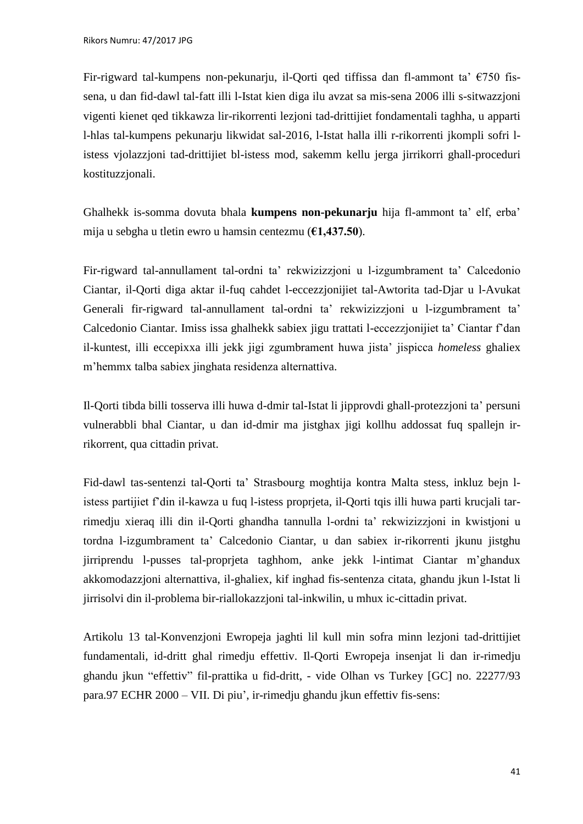Fir-rigward tal-kumpens non-pekunarju, il-Qorti qed tiffissa dan fl-ammont ta' €750 fissena, u dan fid-dawl tal-fatt illi l-Istat kien diga ilu avzat sa mis-sena 2006 illi s-sitwazzjoni vigenti kienet qed tikkawza lir-rikorrenti lezjoni tad-drittijiet fondamentali taghha, u apparti l-hlas tal-kumpens pekunarju likwidat sal-2016, l-Istat halla illi r-rikorrenti jkompli sofri listess vjolazzjoni tad-drittijiet bl-istess mod, sakemm kellu jerga jirrikorri ghall-proceduri kostituzzjonali.

Ghalhekk is-somma dovuta bhala **kumpens non-pekunarju** hija fl-ammont ta' elf, erba' mija u sebgha u tletin ewro u hamsin centezmu (**€1,437.50**).

Fir-rigward tal-annullament tal-ordni ta' rekwizizzjoni u l-izgumbrament ta' Calcedonio Ciantar, il-Qorti diga aktar il-fuq cahdet l-eccezzjonijiet tal-Awtorita tad-Djar u l-Avukat Generali fir-rigward tal-annullament tal-ordni ta' rekwizizzjoni u l-izgumbrament ta' Calcedonio Ciantar. Imiss issa ghalhekk sabiex jigu trattati l-eccezzjonijiet ta' Ciantar f'dan il-kuntest, illi eccepixxa illi jekk jigi zgumbrament huwa jista' jispicca *homeless* ghaliex m'hemmx talba sabiex jinghata residenza alternattiva.

Il-Qorti tibda billi tosserva illi huwa d-dmir tal-Istat li jipprovdi ghall-protezzjoni ta' persuni vulnerabbli bhal Ciantar, u dan id-dmir ma jistghax jigi kollhu addossat fuq spallejn irrikorrent, qua cittadin privat.

Fid-dawl tas-sentenzi tal-Qorti ta' Strasbourg moghtija kontra Malta stess, inkluz bejn listess partijiet f'din il-kawza u fuq l-istess proprieta, il-Qorti tqis illi huwa parti kruciali tarrimedju xieraq illi din il-Qorti ghandha tannulla l-ordni ta' rekwizizzjoni in kwistjoni u tordna l-izgumbrament ta' Calcedonio Ciantar, u dan sabiex ir-rikorrenti jkunu jistghu jirriprendu l-pusses tal-proprjeta taghhom, anke jekk l-intimat Ciantar m'ghandux akkomodazzjoni alternattiva, il-ghaliex, kif inghad fis-sentenza citata, ghandu jkun l-Istat li jirrisolvi din il-problema bir-riallokazzjoni tal-inkwilin, u mhux ic-cittadin privat.

Artikolu 13 tal-Konvenzjoni Ewropeja jaghti lil kull min sofra minn lezjoni tad-drittijiet fundamentali, id-dritt ghal rimedju effettiv. Il-Qorti Ewropeja insenjat li dan ir-rimedju ghandu jkun "effettiv" fil-prattika u fid-dritt, - vide Olhan vs Turkey [GC] no. 22277/93 para.97 ECHR 2000 – VII. Di piu', ir-rimedju ghandu jkun effettiv fis-sens: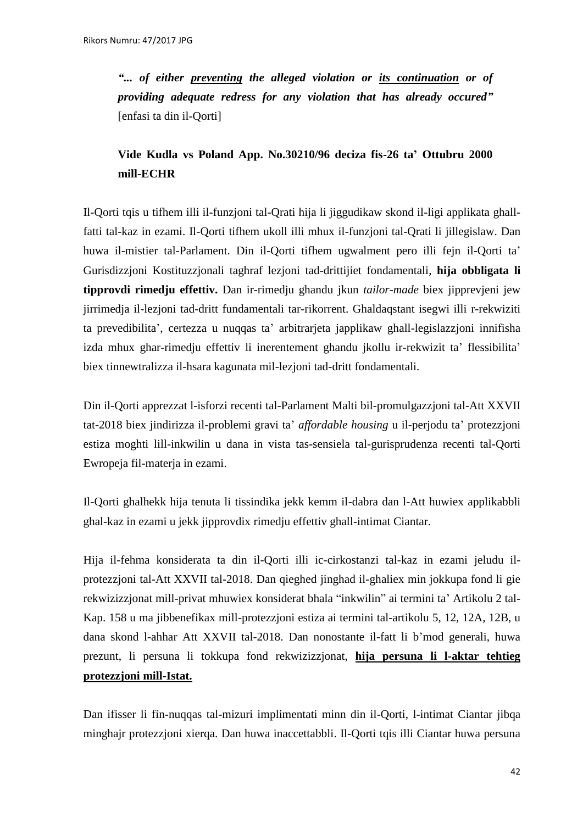*"... of either preventing the alleged violation or its continuation or of providing adequate redress for any violation that has already occured"* [enfasi ta din il-Qorti]

# **Vide Kudla vs Poland App. No.30210/96 deciza fis-26 ta' Ottubru 2000 mill-ECHR**

Il-Qorti tqis u tifhem illi il-funzjoni tal-Qrati hija li jiggudikaw skond il-ligi applikata ghallfatti tal-kaz in ezami. Il-Qorti tifhem ukoll illi mhux il-funzjoni tal-Qrati li jillegislaw. Dan huwa il-mistier tal-Parlament. Din il-Qorti tifhem ugwalment pero illi fejn il-Qorti ta' Gurisdizzjoni Kostituzzjonali taghraf lezjoni tad-drittijiet fondamentali, **hija obbligata li tipprovdi rimedju effettiv.** Dan ir-rimedju ghandu jkun *tailor-made* biex jipprevjeni jew jirrimedja il-lezjoni tad-dritt fundamentali tar-rikorrent. Ghaldaqstant isegwi illi r-rekwiziti ta prevedibilita', certezza u nuqqas ta' arbitrarjeta japplikaw ghall-legislazzjoni innifisha izda mhux ghar-rimedju effettiv li inerentement ghandu jkollu ir-rekwizit ta' flessibilita' biex tinnewtralizza il-hsara kagunata mil-lezjoni tad-dritt fondamentali.

Din il-Qorti apprezzat l-isforzi recenti tal-Parlament Malti bil-promulgazzjoni tal-Att XXVII tat-2018 biex jindirizza il-problemi gravi ta' *affordable housing* u il-perjodu ta' protezzjoni estiza moghti lill-inkwilin u dana in vista tas-sensiela tal-gurisprudenza recenti tal-Qorti Ewropeja fil-materja in ezami.

Il-Qorti ghalhekk hija tenuta li tissindika jekk kemm il-dabra dan l-Att huwiex applikabbli ghal-kaz in ezami u jekk jipprovdix rimedju effettiv ghall-intimat Ciantar.

Hija il-fehma konsiderata ta din il-Qorti illi ic-cirkostanzi tal-kaz in ezami jeludu ilprotezzjoni tal-Att XXVII tal-2018. Dan qieghed jinghad il-ghaliex min jokkupa fond li gie rekwizizzjonat mill-privat mhuwiex konsiderat bhala "inkwilin" ai termini ta' Artikolu 2 tal-Kap. 158 u ma jibbenefikax mill-protezzjoni estiza ai termini tal-artikolu 5, 12, 12A, 12B, u dana skond l-ahhar Att XXVII tal-2018. Dan nonostante il-fatt li b'mod generali, huwa prezunt, li persuna li tokkupa fond rekwizizzjonat, **hija persuna li l-aktar tehtieg protezzjoni mill-Istat.**

Dan ifisser li fin-nuqqas tal-mizuri implimentati minn din il-Qorti, l-intimat Ciantar jibqa minghajr protezzjoni xierqa. Dan huwa inaccettabbli. Il-Qorti tqis illi Ciantar huwa persuna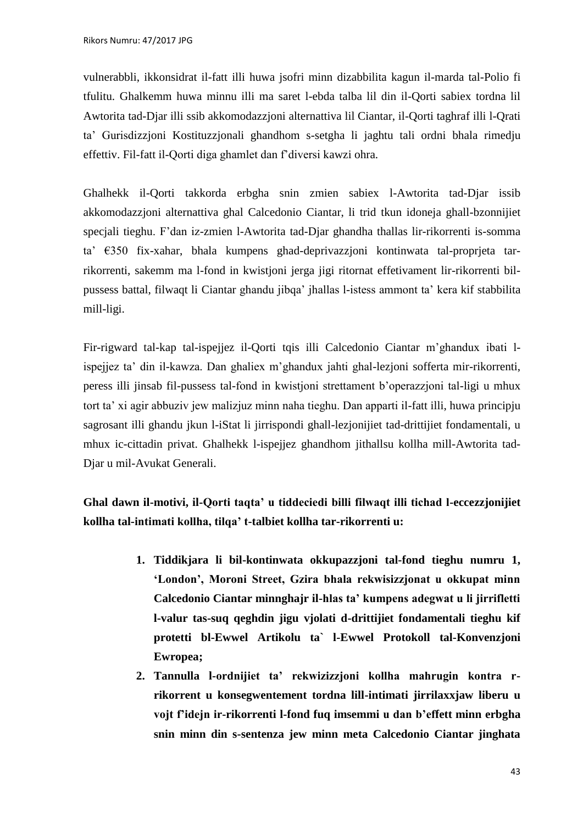vulnerabbli, ikkonsidrat il-fatt illi huwa jsofri minn dizabbilita kagun il-marda tal-Polio fi tfulitu. Ghalkemm huwa minnu illi ma saret l-ebda talba lil din il-Qorti sabiex tordna lil Awtorita tad-Djar illi ssib akkomodazzjoni alternattiva lil Ciantar, il-Qorti taghraf illi l-Qrati ta' Gurisdizzjoni Kostituzzjonali ghandhom s-setgha li jaghtu tali ordni bhala rimedju effettiv. Fil-fatt il-Qorti diga ghamlet dan f'diversi kawzi ohra.

Ghalhekk il-Qorti takkorda erbgha snin zmien sabiex l-Awtorita tad-Djar issib akkomodazzjoni alternattiva ghal Calcedonio Ciantar, li trid tkun idoneja ghall-bzonnijiet specjali tieghu. F'dan iz-zmien l-Awtorita tad-Djar ghandha thallas lir-rikorrenti is-somma ta' €350 fix-xahar, bhala kumpens ghad-deprivazzjoni kontinwata tal-proprjeta tarrikorrenti, sakemm ma l-fond in kwistjoni jerga jigi ritornat effetivament lir-rikorrenti bilpussess battal, filwaqt li Ciantar ghandu jibqa' jhallas l-istess ammont ta' kera kif stabbilita mill-ligi.

Fir-rigward tal-kap tal-ispejjez il-Qorti tqis illi Calcedonio Ciantar m'ghandux ibati lispejjez ta' din il-kawza. Dan ghaliex m'ghandux jahti ghal-lezjoni sofferta mir-rikorrenti, peress illi jinsab fil-pussess tal-fond in kwistjoni strettament b'operazzjoni tal-ligi u mhux tort ta' xi agir abbuziv jew malizjuz minn naha tieghu. Dan apparti il-fatt illi, huwa principju sagrosant illi ghandu jkun l-iStat li jirrispondi ghall-lezjonijiet tad-drittijiet fondamentali, u mhux ic-cittadin privat. Ghalhekk l-ispejjez ghandhom jithallsu kollha mill-Awtorita tad-Djar u mil-Avukat Generali.

# **Ghal dawn il-motivi, il-Qorti taqta' u tiddeciedi billi filwaqt illi tichad l-eccezzjonijiet kollha tal-intimati kollha, tilqa' t-talbiet kollha tar-rikorrenti u:**

- **1. Tiddikjara li bil-kontinwata okkupazzjoni tal-fond tieghu numru 1, 'London', Moroni Street, Gzira bhala rekwisizzjonat u okkupat minn Calcedonio Ciantar minnghajr il-hlas ta' kumpens adegwat u li jirrifletti l-valur tas-suq qeghdin jigu vjolati d-drittijiet fondamentali tieghu kif protetti bl-Ewwel Artikolu ta` l-Ewwel Protokoll tal-Konvenzjoni Ewropea;**
- **2. Tannulla l-ordnijiet ta' rekwizizzjoni kollha mahrugin kontra rrikorrent u konsegwentement tordna lill-intimati jirrilaxxjaw liberu u vojt f'idejn ir-rikorrenti l-fond fuq imsemmi u dan b'effett minn erbgha snin minn din s-sentenza jew minn meta Calcedonio Ciantar jinghata**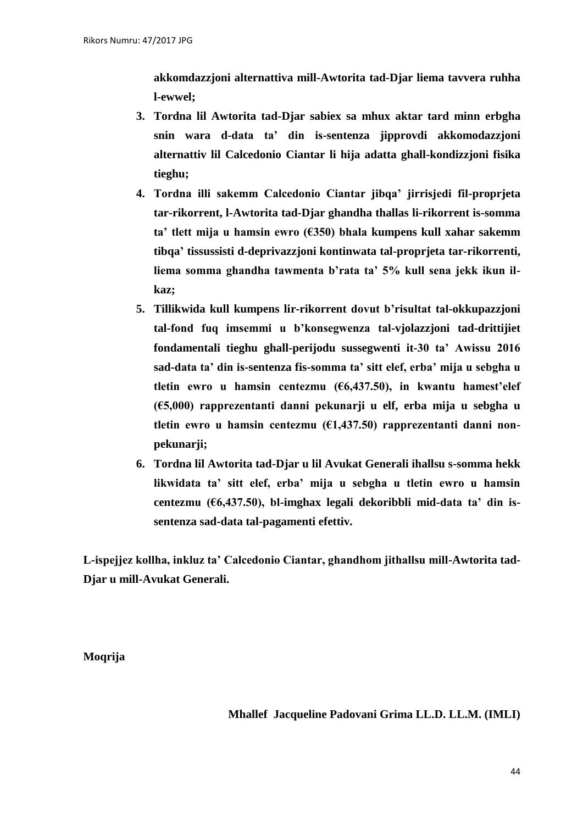**akkomdazzjoni alternattiva mill-Awtorita tad-Djar liema tavvera ruhha l-ewwel;**

- **3. Tordna lil Awtorita tad-Djar sabiex sa mhux aktar tard minn erbgha snin wara d-data ta' din is-sentenza jipprovdi akkomodazzjoni alternattiv lil Calcedonio Ciantar li hija adatta ghall-kondizzjoni fisika tieghu;**
- **4. Tordna illi sakemm Calcedonio Ciantar jibqa' jirrisjedi fil-proprjeta tar-rikorrent, l-Awtorita tad-Djar ghandha thallas li-rikorrent is-somma ta' tlett mija u hamsin ewro (€350) bhala kumpens kull xahar sakemm tibqa' tissussisti d-deprivazzjoni kontinwata tal-proprjeta tar-rikorrenti, liema somma ghandha tawmenta b'rata ta' 5% kull sena jekk ikun ilkaz;**
- **5. Tillikwida kull kumpens lir-rikorrent dovut b'risultat tal-okkupazzjoni tal-fond fuq imsemmi u b'konsegwenza tal-vjolazzjoni tad-drittijiet fondamentali tieghu ghall-perijodu sussegwenti it-30 ta' Awissu 2016 sad-data ta' din is-sentenza fis-somma ta' sitt elef, erba' mija u sebgha u tletin ewro u hamsin centezmu (€6,437.50), in kwantu hamest'elef (€5,000) rapprezentanti danni pekunarji u elf, erba mija u sebgha u tletin ewro u hamsin centezmu (€1,437.50) rapprezentanti danni nonpekunarji;**
- **6. Tordna lil Awtorita tad-Djar u lil Avukat Generali ihallsu s-somma hekk likwidata ta' sitt elef, erba' mija u sebgha u tletin ewro u hamsin centezmu (€6,437.50), bl-imghax legali dekoribbli mid-data ta' din issentenza sad-data tal-pagamenti efettiv.**

**L-ispejjez kollha, inkluz ta' Calcedonio Ciantar, ghandhom jithallsu mill-Awtorita tad-Djar u mill-Avukat Generali.**

**Moqrija**

**Mhallef Jacqueline Padovani Grima LL.D. LL.M. (IMLI)**